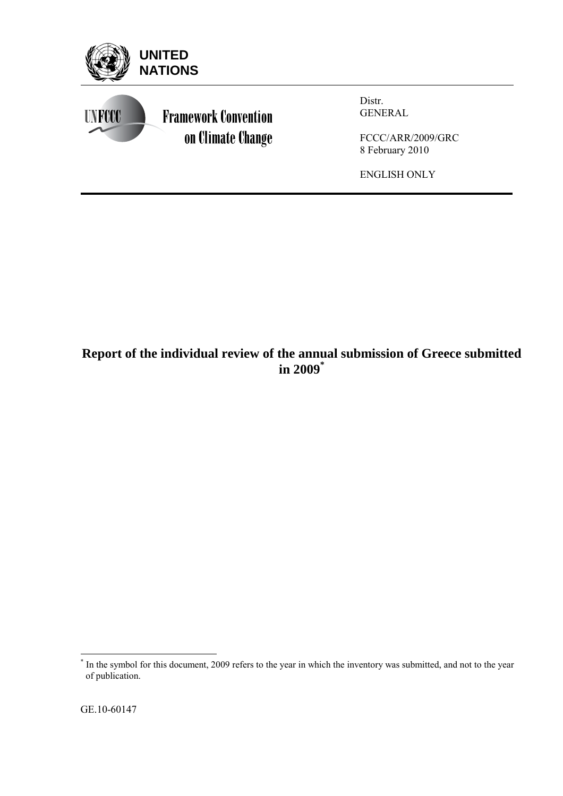

# **Report of the individual review of the annual submission of Greece submitted in 2009\***

 \* In the symbol for this document, 2009 refers to the year in which the inventory was submitted, and not to the year of publication.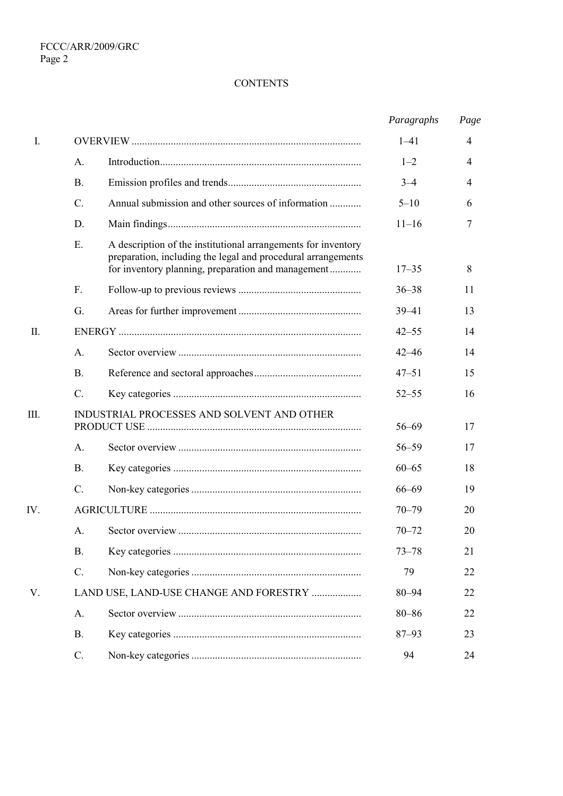# **CONTENTS**

|         |                 |                                                                                                                                                                                     | Paragraphs | Page |
|---------|-----------------|-------------------------------------------------------------------------------------------------------------------------------------------------------------------------------------|------------|------|
| I.      |                 |                                                                                                                                                                                     | $1 - 41$   | 4    |
|         | A.              |                                                                                                                                                                                     | $1 - 2$    | 4    |
|         | <b>B.</b>       |                                                                                                                                                                                     | $3 - 4$    | 4    |
|         | $C$ .           | Annual submission and other sources of information                                                                                                                                  | $5 - 10$   | 6    |
|         | D.              |                                                                                                                                                                                     | $11 - 16$  | 7    |
|         | E.              | A description of the institutional arrangements for inventory<br>preparation, including the legal and procedural arrangements<br>for inventory planning, preparation and management | $17 - 35$  | 8    |
|         | F.              |                                                                                                                                                                                     | $36 - 38$  | 11   |
|         | G.              |                                                                                                                                                                                     | $39 - 41$  | 13   |
| $\prod$ |                 |                                                                                                                                                                                     | $42 - 55$  | 14   |
|         | A.              |                                                                                                                                                                                     | $42 - 46$  | 14   |
|         | Β.              |                                                                                                                                                                                     | $47 - 51$  | 15   |
|         | $\mathcal{C}$ . |                                                                                                                                                                                     | $52 - 55$  | 16   |
| III.    |                 | INDUSTRIAL PROCESSES AND SOLVENT AND OTHER                                                                                                                                          | $56 - 69$  | 17   |
|         | A.              |                                                                                                                                                                                     | $56 - 59$  | 17   |
|         | <b>B.</b>       |                                                                                                                                                                                     | $60 - 65$  | 18   |
|         | $C$ .           |                                                                                                                                                                                     | $66 - 69$  | 19   |
| IV.     |                 |                                                                                                                                                                                     | $70 - 79$  | 20   |
|         | A.              |                                                                                                                                                                                     | $70 - 72$  | 20   |
|         | <b>B.</b>       |                                                                                                                                                                                     | $73 - 78$  | 21   |
|         | $C$ .           |                                                                                                                                                                                     | 79         | 22   |
| V.      |                 | LAND USE, LAND-USE CHANGE AND FORESTRY                                                                                                                                              | $80 - 94$  | 22   |
|         | A.              |                                                                                                                                                                                     | $80 - 86$  | 22   |
|         | <b>B.</b>       |                                                                                                                                                                                     | $87 - 93$  | 23   |
|         | C.              |                                                                                                                                                                                     | 94         | 24   |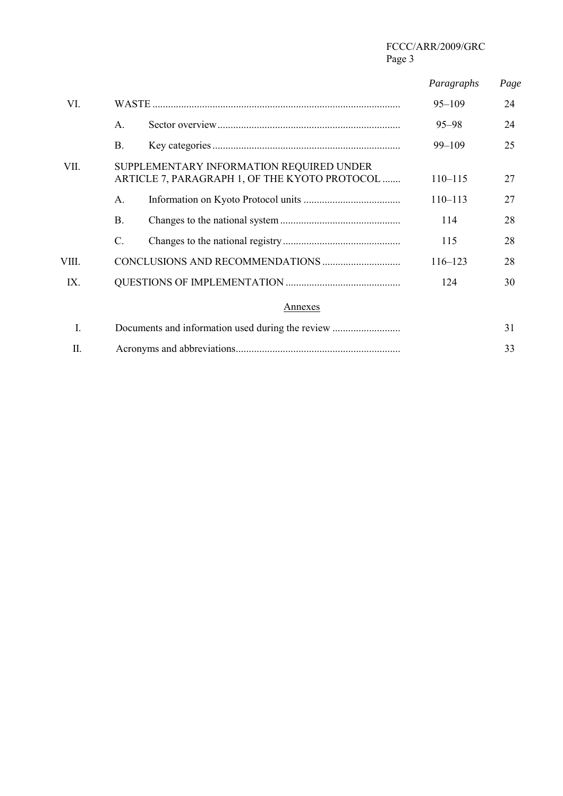|       |    |                                                                                           | Paragraphs  | Page |
|-------|----|-------------------------------------------------------------------------------------------|-------------|------|
| VI.   |    |                                                                                           | $95 - 109$  | 24   |
|       | A. |                                                                                           | $95 - 98$   | 24   |
|       | В. |                                                                                           | $99 - 109$  | 25   |
| VII.  |    | SUPPLEMENTARY INFORMATION REQUIRED UNDER<br>ARTICLE 7, PARAGRAPH 1, OF THE KYOTO PROTOCOL | $110 - 115$ | 27   |
|       | Α. |                                                                                           | $110 - 113$ | 27   |
|       | Β. |                                                                                           | 114         | 28   |
|       | C. |                                                                                           | 115         | 28   |
| VIII. |    |                                                                                           | $116 - 123$ | 28   |
| IX.   |    |                                                                                           | 124         | 30   |
|       |    | Annexes                                                                                   |             |      |
| I.    |    |                                                                                           |             | 31   |
| П.    |    |                                                                                           |             | 33   |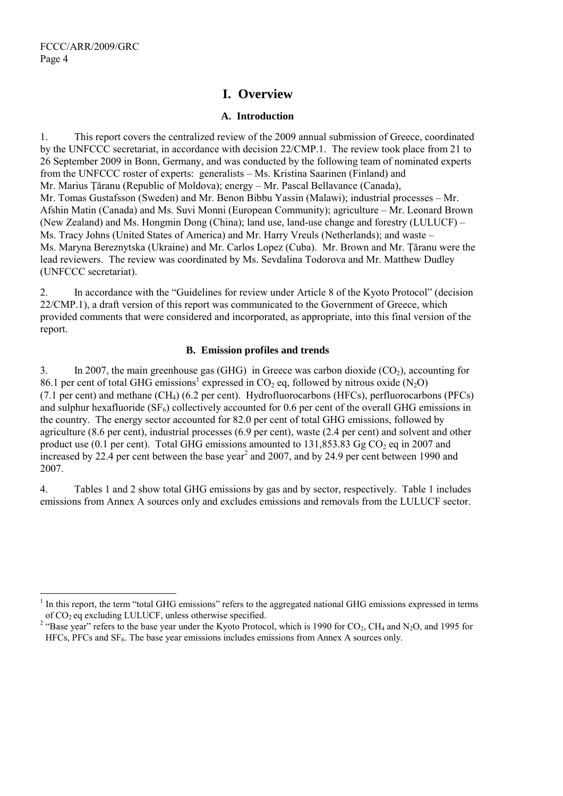$\overline{a}$ 

# **I. Overview**

## **A. Introduction**

1. This report covers the centralized review of the 2009 annual submission of Greece, coordinated by the UNFCCC secretariat, in accordance with decision 22/CMP.1. The review took place from 21 to 26 September 2009 in Bonn, Germany, and was conducted by the following team of nominated experts from the UNFCCC roster of experts: generalists – Ms. Kristina Saarinen (Finland) and Mr. Marius Tăranu (Republic of Moldova); energy – Mr. Pascal Bellavance (Canada), Mr. Tomas Gustafsson (Sweden) and Mr. Benon Bibbu Yassin (Malawi); industrial processes – Mr. Afshin Matin (Canada) and Ms. Suvi Monni (European Community); agriculture – Mr. Leonard Brown (New Zealand) and Ms. Hongmin Dong (China); land use, land-use change and forestry (LULUCF) – Ms. Tracy Johns (United States of America) and Mr. Harry Vreuls (Netherlands); and waste – Ms. Maryna Bereznytska (Ukraine) and Mr. Carlos Lopez (Cuba). Mr. Brown and Mr. Ţăranu were the lead reviewers. The review was coordinated by Ms. Sevdalina Todorova and Mr. Matthew Dudley (UNFCCC secretariat).

2. In accordance with the "Guidelines for review under Article 8 of the Kyoto Protocol" (decision 22/CMP.1), a draft version of this report was communicated to the Government of Greece, which provided comments that were considered and incorporated, as appropriate, into this final version of the report.

### **B. Emission profiles and trends**

3. In 2007, the main greenhouse gas  $(GHG)$  in Greece was carbon dioxide  $(CO<sub>2</sub>)$ , accounting for 86.1 per cent of total GHG emissions<sup>1</sup> expressed in CO<sub>2</sub> eq, followed by nitrous oxide (N<sub>2</sub>O) (7.1 per cent) and methane (CH4) (6.2 per cent). Hydrofluorocarbons (HFCs), perfluorocarbons (PFCs) and sulphur hexafluoride  $(SF_6)$  collectively accounted for 0.6 per cent of the overall GHG emissions in the country. The energy sector accounted for 82.0 per cent of total GHG emissions, followed by agriculture (8.6 per cent), industrial processes (6.9 per cent), waste (2.4 per cent) and solvent and other product use (0.1 per cent). Total GHG emissions amounted to  $131,853.83$  Gg CO<sub>2</sub> eq in 2007 and increased by 22.4 per cent between the base year<sup>2</sup> and 2007, and by 24.9 per cent between 1990 and 2007.

4. Tables 1 and 2 show total GHG emissions by gas and by sector, respectively. Table 1 includes emissions from Annex A sources only and excludes emissions and removals from the LULUCF sector.

<sup>1</sup> In this report, the term "total GHG emissions" refers to the aggregated national GHG emissions expressed in terms of  $CO<sub>2</sub>$  eq excluding LULUCF, unless otherwise specified.

<sup>&</sup>lt;sup>2</sup> "Base year" refers to the base year under the Kyoto Protocol, which is 1990 for CO<sub>2</sub>, CH<sub>4</sub> and N<sub>2</sub>O, and 1995 for  $HFCs$ , PFCs and  $SF<sub>6</sub>$ . The base year emissions includes emissions from Annex A sources only.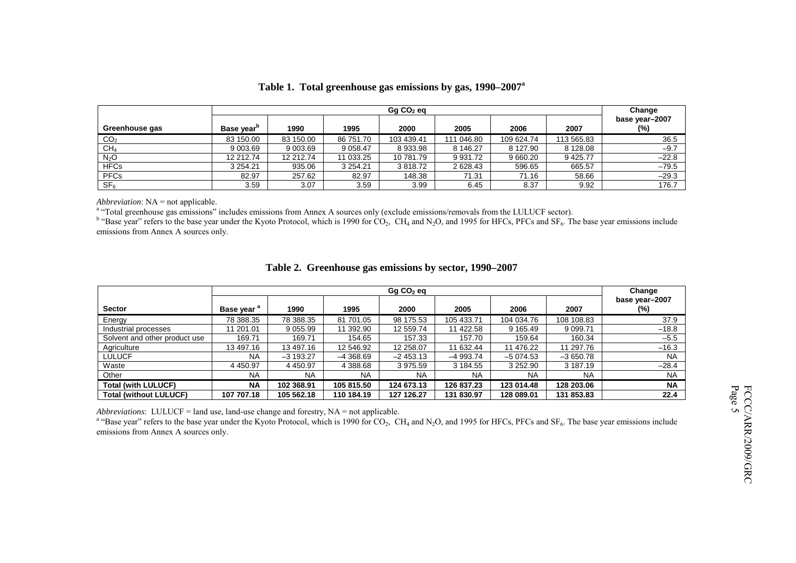|                  | $Gq CO2$ eq            |           |               |            |            |            |              | Change                   |
|------------------|------------------------|-----------|---------------|------------|------------|------------|--------------|--------------------------|
| Greenhouse gas   | Base year <sup>p</sup> | 1990      | 1995          | 2000       | 2005       | 2006       | 2007         | base year-2007<br>$(\%)$ |
| CO <sub>2</sub>  | 83 150.00              | 83 150.00 | 86 751.70     | 103 439.41 | 111 046.80 | 109 624.74 | 113 565.83   | 36.5                     |
| CH <sub>4</sub>  | 9 003.69               | 9 003.69  | 9 0 58.47     | 8933.98    | 8 146.27   | 8 127.90   | 8 1 2 8 .0 8 | $-9.7$                   |
| N <sub>2</sub> O | 12 212.74              | 12 212.74 | 11 033.25     | 10 781.79  | 9 931.72   | 9 660.20   | 9 4 2 5.77   | $-22.8$                  |
| <b>HFCs</b>      | 3 2 5 4 . 2 1          | 935.06    | 3 2 5 4 . 2 1 | 3818.72    | 2 628.43   | 596.65     | 665.57       | $-79.5$                  |
| <b>PFCs</b>      | 82.97                  | 257.62    | 82.97         | 148.38     | 71.31      | 71.16      | 58.66        | $-29.3$                  |
| SF <sub>6</sub>  | 3.59                   | 3.07      | 3.59          | 3.99       | 6.45       | 8.37       | 9.92         | 176.7                    |

#### **Table 1. Total greenhouse gas emissions by gas, 1990–2007a**

*Abbreviation*: NA = not applicable.

<sup>a</sup> "Total greenhouse gas emissions" includes emissions from Annex A sources only (exclude emissions/removals from the LULUCF sector).

 $b$  "Base year" refers to the base year under the Kyoto Protocol, which is 1990 for  $CO_2$ , CH<sub>4</sub> and N<sub>2</sub>O, and 1995 for HFCs, PFCs and SF<sub>6</sub>. The base year emissions include emissions from Annex A sources only.

|                               | Gq CO <sub>2</sub> eq |             |             |            |            | Change        |            |                       |
|-------------------------------|-----------------------|-------------|-------------|------------|------------|---------------|------------|-----------------------|
| <b>Sector</b>                 | Base year "           | 1990        | 1995        | 2000       | 2005       | 2006          | 2007       | base year-2007<br>(%) |
| Energy                        | 78 388.35             | 78 388.35   | 81 701.05   | 98 175.53  | 105 433.71 | 104 034.76    | 108 108.83 | 37.9                  |
| Industrial processes          | 11 201.01             | 9 0 5 5.99  | 11 392.90   | 12 559.74  | 11 422.58  | 9 1 6 5 . 4 9 | 9 0 9 9.71 | $-18.8$               |
| Solvent and other product use | 169.71                | 169.71      | 154.65      | 157.33     | 157.70     | 159.64        | 160.34     | $-5.5$                |
| Agriculture                   | 13 497.16             | 13 497.16   | 12 546.92   | 12 258.07  | 11 632.44  | 11 476.22     | 11 297.76  | $-16.3$               |
| <b>LULUCF</b>                 | <b>NA</b>             | $-3193.27$  | $-4,368.69$ | $-2453.13$ | $-4993.74$ | $-5074.53$    | $-3650.78$ | <b>NA</b>             |
| Waste                         | 4 4 5 0.9 7           | 4 4 5 0.9 7 | 4 388.68    | 3 975.59   | 3 184.55   | 3 252.90      | 3 187.19   | $-28.4$               |
| Other                         | <b>NA</b>             | <b>NA</b>   | <b>NA</b>   | <b>NA</b>  | <b>NA</b>  | <b>NA</b>     | NA         | <b>NA</b>             |
| <b>Total (with LULUCF)</b>    | <b>NA</b>             | 102 368.91  | 105 815.50  | 124 673.13 | 126 837.23 | 123 014.48    | 128 203.06 | <b>NA</b>             |
| <b>Total (without LULUCF)</b> | 107 707.18            | 105 562.18  | 110 184.19  | 127 126.27 | 131 830.97 | 128 089.01    | 131 853.83 | 22.4                  |

#### **Table 2. Greenhouse gas emissions by sector, 1990–2007**

*Abbreviations*: LULUCF = land use, land-use change and forestry, NA = not applicable.

<sup>a</sup> "Base year" refers to the base year under the Kyoto Protocol, which is 1990 for  $CO_2$ ,  $CH_4$  and N<sub>2</sub>O, and 1995 for HFCs, PFCs and SF<sub>6</sub>. The base year emissions include emissions from Annex A sources only.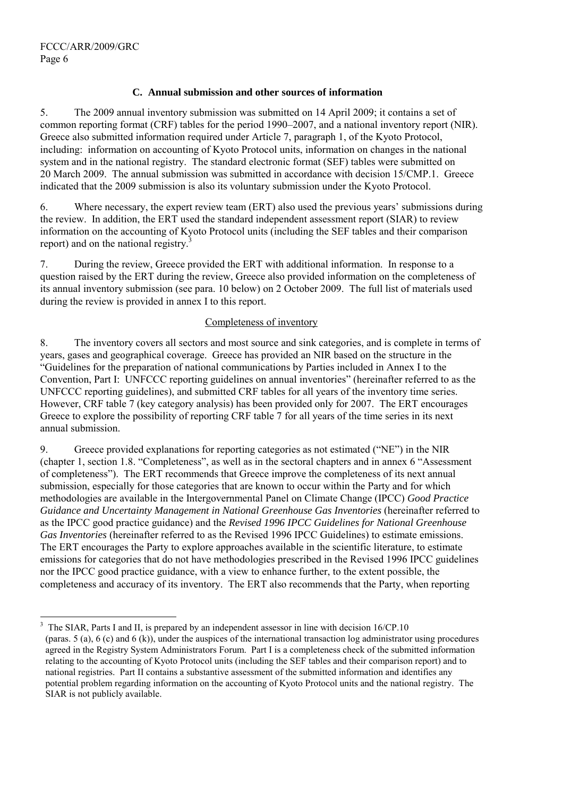l

### **C. Annual submission and other sources of information**

5. The 2009 annual inventory submission was submitted on 14 April 2009; it contains a set of common reporting format (CRF) tables for the period 1990–2007, and a national inventory report (NIR). Greece also submitted information required under Article 7, paragraph 1, of the Kyoto Protocol, including: information on accounting of Kyoto Protocol units, information on changes in the national system and in the national registry. The standard electronic format (SEF) tables were submitted on 20 March 2009. The annual submission was submitted in accordance with decision 15/CMP.1. Greece indicated that the 2009 submission is also its voluntary submission under the Kyoto Protocol.

6. Where necessary, the expert review team (ERT) also used the previous years' submissions during the review. In addition, the ERT used the standard independent assessment report (SIAR) to review information on the accounting of Kyoto Protocol units (including the SEF tables and their comparison report) and on the national registry.<sup>3</sup>

7. During the review, Greece provided the ERT with additional information. In response to a question raised by the ERT during the review, Greece also provided information on the completeness of its annual inventory submission (see para. 10 below) on 2 October 2009. The full list of materials used during the review is provided in annex I to this report.

### Completeness of inventory

8. The inventory covers all sectors and most source and sink categories, and is complete in terms of years, gases and geographical coverage. Greece has provided an NIR based on the structure in the "Guidelines for the preparation of national communications by Parties included in Annex I to the Convention, Part I: UNFCCC reporting guidelines on annual inventories" (hereinafter referred to as the UNFCCC reporting guidelines), and submitted CRF tables for all years of the inventory time series. However, CRF table 7 (key category analysis) has been provided only for 2007. The ERT encourages Greece to explore the possibility of reporting CRF table 7 for all years of the time series in its next annual submission.

9. Greece provided explanations for reporting categories as not estimated ("NE") in the NIR (chapter 1, section 1.8. "Completeness", as well as in the sectoral chapters and in annex 6 "Assessment of completeness"). The ERT recommends that Greece improve the completeness of its next annual submission, especially for those categories that are known to occur within the Party and for which methodologies are available in the Intergovernmental Panel on Climate Change (IPCC) *Good Practice Guidance and Uncertainty Management in National Greenhouse Gas Inventories* (hereinafter referred to as the IPCC good practice guidance) and the *Revised 1996 IPCC Guidelines for National Greenhouse Gas Inventories* (hereinafter referred to as the Revised 1996 IPCC Guidelines) to estimate emissions. The ERT encourages the Party to explore approaches available in the scientific literature, to estimate emissions for categories that do not have methodologies prescribed in the Revised 1996 IPCC guidelines nor the IPCC good practice guidance, with a view to enhance further, to the extent possible, the completeness and accuracy of its inventory. The ERT also recommends that the Party, when reporting

<sup>3</sup> The SIAR, Parts I and II, is prepared by an independent assessor in line with decision 16/CP.10 (paras. 5 (a), 6 (c) and 6 (k)), under the auspices of the international transaction log administrator using procedures agreed in the Registry System Administrators Forum. Part I is a completeness check of the submitted information relating to the accounting of Kyoto Protocol units (including the SEF tables and their comparison report) and to national registries. Part II contains a substantive assessment of the submitted information and identifies any potential problem regarding information on the accounting of Kyoto Protocol units and the national registry. The SIAR is not publicly available.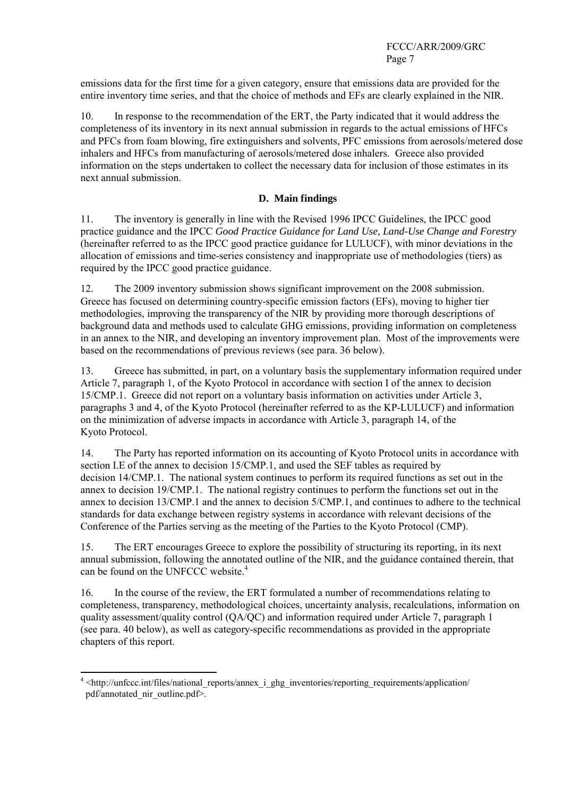emissions data for the first time for a given category, ensure that emissions data are provided for the entire inventory time series, and that the choice of methods and EFs are clearly explained in the NIR.

10. In response to the recommendation of the ERT, the Party indicated that it would address the completeness of its inventory in its next annual submission in regards to the actual emissions of HFCs and PFCs from foam blowing, fire extinguishers and solvents, PFC emissions from aerosols/metered dose inhalers and HFCs from manufacturing of aerosols/metered dose inhalers. Greece also provided information on the steps undertaken to collect the necessary data for inclusion of those estimates in its next annual submission.

### **D. Main findings**

11. The inventory is generally in line with the Revised 1996 IPCC Guidelines, the IPCC good practice guidance and the IPCC *Good Practice Guidance for Land Use, Land-Use Change and Forestry* (hereinafter referred to as the IPCC good practice guidance for LULUCF), with minor deviations in the allocation of emissions and time-series consistency and inappropriate use of methodologies (tiers) as required by the IPCC good practice guidance.

12. The 2009 inventory submission shows significant improvement on the 2008 submission. Greece has focused on determining country-specific emission factors (EFs), moving to higher tier methodologies, improving the transparency of the NIR by providing more thorough descriptions of background data and methods used to calculate GHG emissions, providing information on completeness in an annex to the NIR, and developing an inventory improvement plan. Most of the improvements were based on the recommendations of previous reviews (see para. 36 below).

13. Greece has submitted, in part, on a voluntary basis the supplementary information required under Article 7, paragraph 1, of the Kyoto Protocol in accordance with section I of the annex to decision 15/CMP.1. Greece did not report on a voluntary basis information on activities under Article 3, paragraphs 3 and 4, of the Kyoto Protocol (hereinafter referred to as the KP-LULUCF) and information on the minimization of adverse impacts in accordance with Article 3, paragraph 14, of the Kyoto Protocol.

14. The Party has reported information on its accounting of Kyoto Protocol units in accordance with section I.E of the annex to decision 15/CMP.1, and used the SEF tables as required by decision 14/CMP.1. The national system continues to perform its required functions as set out in the annex to decision 19/CMP.1. The national registry continues to perform the functions set out in the annex to decision 13/CMP.1 and the annex to decision 5/CMP.1, and continues to adhere to the technical standards for data exchange between registry systems in accordance with relevant decisions of the Conference of the Parties serving as the meeting of the Parties to the Kyoto Protocol (CMP).

15. The ERT encourages Greece to explore the possibility of structuring its reporting, in its next annual submission, following the annotated outline of the NIR, and the guidance contained therein, that can be found on the UNFCCC website.<sup>4</sup>

16. In the course of the review, the ERT formulated a number of recommendations relating to completeness, transparency, methodological choices, uncertainty analysis, recalculations, information on quality assessment/quality control (QA/QC) and information required under Article 7, paragraph 1 (see para. 40 below), as well as category-specific recommendations as provided in the appropriate chapters of this report.

 4 <http://unfccc.int/files/national\_reports/annex\_i\_ghg\_inventories/reporting\_requirements/application/ pdf/annotated\_nir\_outline.pdf>.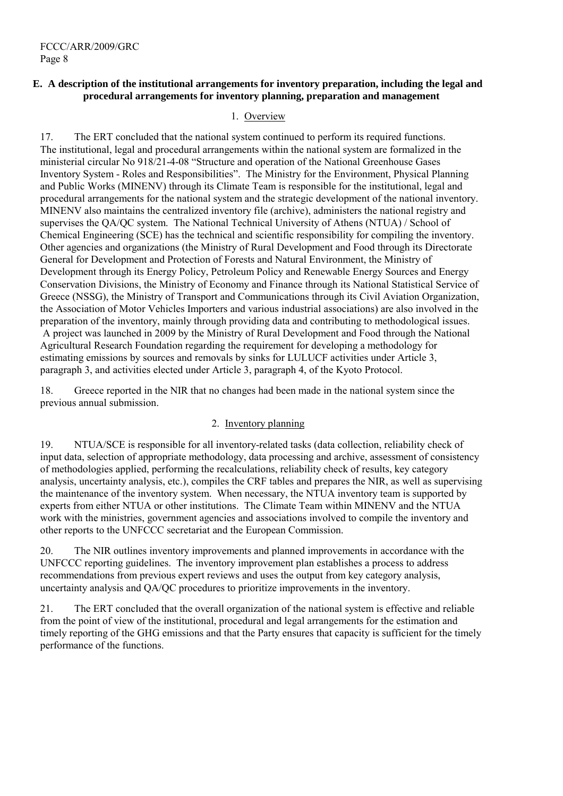### **E. A description of the institutional arrangements for inventory preparation, including the legal and procedural arrangements for inventory planning, preparation and management**

### 1. Overview

17. The ERT concluded that the national system continued to perform its required functions. The institutional, legal and procedural arrangements within the national system are formalized in the ministerial circular No 918/21-4-08 "Structure and operation of the National Greenhouse Gases Inventory System - Roles and Responsibilities". The Ministry for the Environment, Physical Planning and Public Works (MINENV) through its Climate Team is responsible for the institutional, legal and procedural arrangements for the national system and the strategic development of the national inventory. MINENV also maintains the centralized inventory file (archive), administers the national registry and supervises the QA/QC system. The National Technical University of Athens (NTUA) / School of Chemical Engineering (SCE) has the technical and scientific responsibility for compiling the inventory. Other agencies and organizations (the Ministry of Rural Development and Food through its Directorate General for Development and Protection of Forests and Natural Environment, the Ministry of Development through its Energy Policy, Petroleum Policy and Renewable Energy Sources and Energy Conservation Divisions, the Ministry of Economy and Finance through its National Statistical Service of Greece (NSSG), the Ministry of Transport and Communications through its Civil Aviation Organization, the Association of Motor Vehicles Importers and various industrial associations) are also involved in the preparation of the inventory, mainly through providing data and contributing to methodological issues. A project was launched in 2009 by the Ministry of Rural Development and Food through the National Agricultural Research Foundation regarding the requirement for developing a methodology for estimating emissions by sources and removals by sinks for LULUCF activities under Article 3, paragraph 3, and activities elected under Article 3, paragraph 4, of the Kyoto Protocol.

18. Greece reported in the NIR that no changes had been made in the national system since the previous annual submission.

### 2. Inventory planning

19. NTUA/SCE is responsible for all inventory-related tasks (data collection, reliability check of input data, selection of appropriate methodology, data processing and archive, assessment of consistency of methodologies applied, performing the recalculations, reliability check of results, key category analysis, uncertainty analysis, etc.), compiles the CRF tables and prepares the NIR, as well as supervising the maintenance of the inventory system. When necessary, the NTUA inventory team is supported by experts from either NTUA or other institutions. The Climate Team within MINENV and the NTUA work with the ministries, government agencies and associations involved to compile the inventory and other reports to the UNFCCC secretariat and the European Commission.

20. The NIR outlines inventory improvements and planned improvements in accordance with the UNFCCC reporting guidelines. The inventory improvement plan establishes a process to address recommendations from previous expert reviews and uses the output from key category analysis, uncertainty analysis and QA/QC procedures to prioritize improvements in the inventory.

21. The ERT concluded that the overall organization of the national system is effective and reliable from the point of view of the institutional, procedural and legal arrangements for the estimation and timely reporting of the GHG emissions and that the Party ensures that capacity is sufficient for the timely performance of the functions.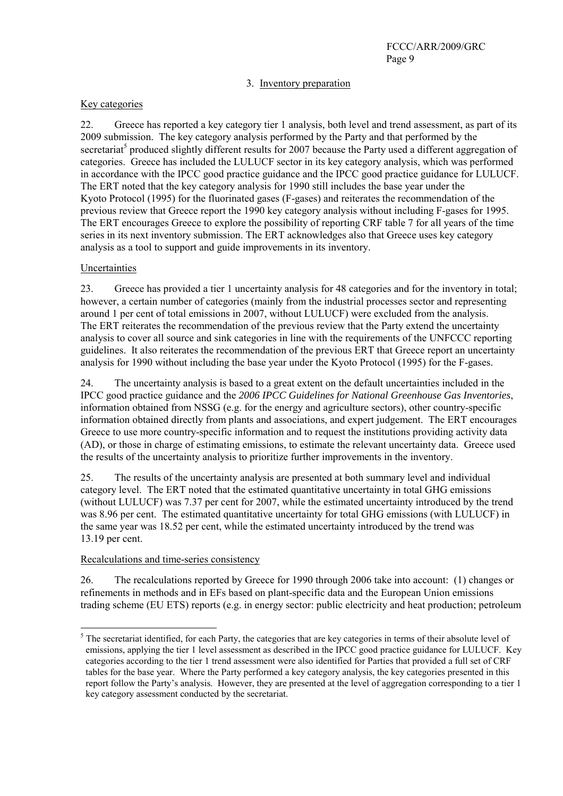### 3. Inventory preparation

#### Key categories

22. Greece has reported a key category tier 1 analysis, both level and trend assessment, as part of its 2009 submission. The key category analysis performed by the Party and that performed by the secretariat<sup>5</sup> produced slightly different results for 2007 because the Party used a different aggregation of categories. Greece has included the LULUCF sector in its key category analysis, which was performed in accordance with the IPCC good practice guidance and the IPCC good practice guidance for LULUCF. The ERT noted that the key category analysis for 1990 still includes the base year under the Kyoto Protocol (1995) for the fluorinated gases (F-gases) and reiterates the recommendation of the previous review that Greece report the 1990 key category analysis without including F-gases for 1995. The ERT encourages Greece to explore the possibility of reporting CRF table 7 for all years of the time series in its next inventory submission. The ERT acknowledges also that Greece uses key category analysis as a tool to support and guide improvements in its inventory.

### Uncertainties

 $\overline{a}$ 

23. Greece has provided a tier 1 uncertainty analysis for 48 categories and for the inventory in total; however, a certain number of categories (mainly from the industrial processes sector and representing around 1 per cent of total emissions in 2007, without LULUCF) were excluded from the analysis. The ERT reiterates the recommendation of the previous review that the Party extend the uncertainty analysis to cover all source and sink categories in line with the requirements of the UNFCCC reporting guidelines. It also reiterates the recommendation of the previous ERT that Greece report an uncertainty analysis for 1990 without including the base year under the Kyoto Protocol (1995) for the F-gases.

24. The uncertainty analysis is based to a great extent on the default uncertainties included in the IPCC good practice guidance and the *2006 IPCC Guidelines for National Greenhouse Gas Inventories*, information obtained from NSSG (e.g. for the energy and agriculture sectors), other country-specific information obtained directly from plants and associations, and expert judgement. The ERT encourages Greece to use more country-specific information and to request the institutions providing activity data (AD), or those in charge of estimating emissions, to estimate the relevant uncertainty data. Greece used the results of the uncertainty analysis to prioritize further improvements in the inventory.

25. The results of the uncertainty analysis are presented at both summary level and individual category level. The ERT noted that the estimated quantitative uncertainty in total GHG emissions (without LULUCF) was 7.37 per cent for 2007, while the estimated uncertainty introduced by the trend was 8.96 per cent. The estimated quantitative uncertainty for total GHG emissions (with LULUCF) in the same year was 18.52 per cent, while the estimated uncertainty introduced by the trend was 13.19 per cent.

#### Recalculations and time-series consistency

26. The recalculations reported by Greece for 1990 through 2006 take into account: (1) changes or refinements in methods and in EFs based on plant-specific data and the European Union emissions trading scheme (EU ETS) reports (e.g. in energy sector: public electricity and heat production; petroleum

 $<sup>5</sup>$  The secretariat identified, for each Party, the categories that are key categories in terms of their absolute level of</sup> emissions, applying the tier 1 level assessment as described in the IPCC good practice guidance for LULUCF. Key categories according to the tier 1 trend assessment were also identified for Parties that provided a full set of CRF tables for the base year. Where the Party performed a key category analysis, the key categories presented in this report follow the Party's analysis. However, they are presented at the level of aggregation corresponding to a tier 1 key category assessment conducted by the secretariat.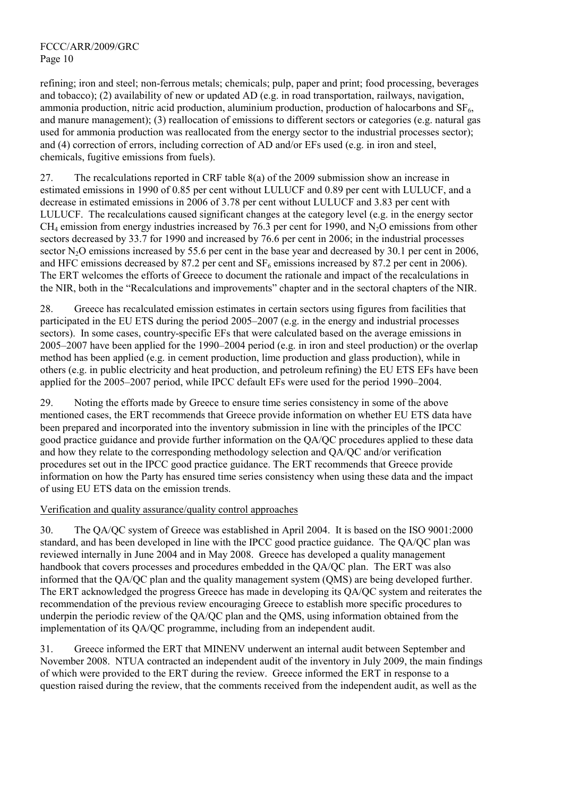refining; iron and steel; non-ferrous metals; chemicals; pulp, paper and print; food processing, beverages and tobacco); (2) availability of new or updated AD (e.g. in road transportation, railways, navigation, ammonia production, nitric acid production, aluminium production, production of halocarbons and  $SF<sub>6</sub>$ , and manure management); (3) reallocation of emissions to different sectors or categories (e.g. natural gas used for ammonia production was reallocated from the energy sector to the industrial processes sector); and (4) correction of errors, including correction of AD and/or EFs used (e.g. in iron and steel, chemicals, fugitive emissions from fuels).

27. The recalculations reported in CRF table 8(a) of the 2009 submission show an increase in estimated emissions in 1990 of 0.85 per cent without LULUCF and 0.89 per cent with LULUCF, and a decrease in estimated emissions in 2006 of 3.78 per cent without LULUCF and 3.83 per cent with LULUCF. The recalculations caused significant changes at the category level (e.g. in the energy sector  $CH<sub>4</sub>$  emission from energy industries increased by 76.3 per cent for 1990, and N<sub>2</sub>O emissions from other sectors decreased by 33.7 for 1990 and increased by 76.6 per cent in 2006; in the industrial processes sector  $N_2O$  emissions increased by 55.6 per cent in the base year and decreased by 30.1 per cent in 2006, and HFC emissions decreased by 87.2 per cent and  $SF_6$  emissions increased by 87.2 per cent in 2006). The ERT welcomes the efforts of Greece to document the rationale and impact of the recalculations in the NIR, both in the "Recalculations and improvements" chapter and in the sectoral chapters of the NIR.

28. Greece has recalculated emission estimates in certain sectors using figures from facilities that participated in the EU ETS during the period 2005–2007 (e.g. in the energy and industrial processes sectors). In some cases, country-specific EFs that were calculated based on the average emissions in 2005–2007 have been applied for the 1990–2004 period (e.g. in iron and steel production) or the overlap method has been applied (e.g. in cement production, lime production and glass production), while in others (e.g. in public electricity and heat production, and petroleum refining) the EU ETS EFs have been applied for the 2005–2007 period, while IPCC default EFs were used for the period 1990–2004.

29. Noting the efforts made by Greece to ensure time series consistency in some of the above mentioned cases, the ERT recommends that Greece provide information on whether EU ETS data have been prepared and incorporated into the inventory submission in line with the principles of the IPCC good practice guidance and provide further information on the QA/QC procedures applied to these data and how they relate to the corresponding methodology selection and QA/QC and/or verification procedures set out in the IPCC good practice guidance. The ERT recommends that Greece provide information on how the Party has ensured time series consistency when using these data and the impact of using EU ETS data on the emission trends.

### Verification and quality assurance/quality control approaches

30. The QA/QC system of Greece was established in April 2004. It is based on the ISO 9001:2000 standard, and has been developed in line with the IPCC good practice guidance. The QA/QC plan was reviewed internally in June 2004 and in May 2008. Greece has developed a quality management handbook that covers processes and procedures embedded in the QA/QC plan. The ERT was also informed that the QA/QC plan and the quality management system (QMS) are being developed further. The ERT acknowledged the progress Greece has made in developing its QA/QC system and reiterates the recommendation of the previous review encouraging Greece to establish more specific procedures to underpin the periodic review of the QA/QC plan and the QMS, using information obtained from the implementation of its QA/QC programme, including from an independent audit.

31. Greece informed the ERT that MINENV underwent an internal audit between September and November 2008. NTUA contracted an independent audit of the inventory in July 2009, the main findings of which were provided to the ERT during the review. Greece informed the ERT in response to a question raised during the review, that the comments received from the independent audit, as well as the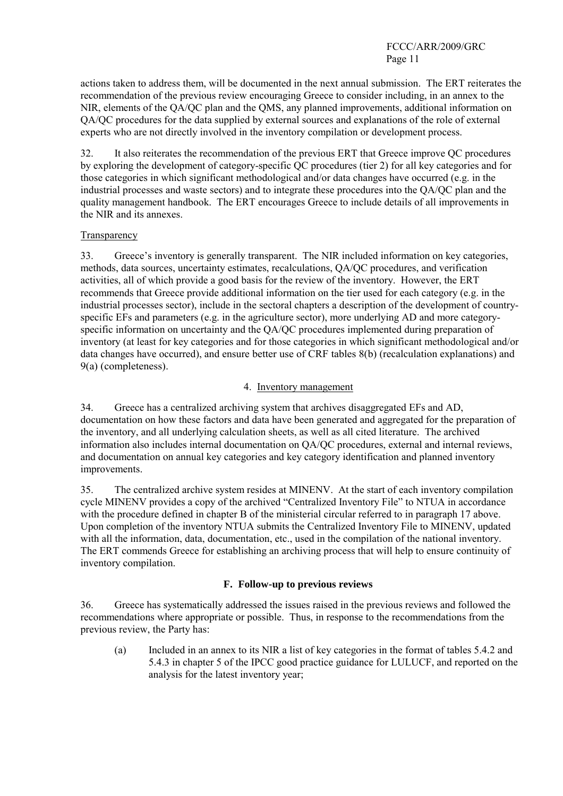actions taken to address them, will be documented in the next annual submission. The ERT reiterates the recommendation of the previous review encouraging Greece to consider including, in an annex to the NIR, elements of the QA/QC plan and the QMS, any planned improvements, additional information on QA/QC procedures for the data supplied by external sources and explanations of the role of external experts who are not directly involved in the inventory compilation or development process.

32. It also reiterates the recommendation of the previous ERT that Greece improve QC procedures by exploring the development of category-specific QC procedures (tier 2) for all key categories and for those categories in which significant methodological and/or data changes have occurred (e.g. in the industrial processes and waste sectors) and to integrate these procedures into the QA/QC plan and the quality management handbook. The ERT encourages Greece to include details of all improvements in the NIR and its annexes.

## **Transparency**

33. Greece's inventory is generally transparent. The NIR included information on key categories, methods, data sources, uncertainty estimates, recalculations, QA/QC procedures, and verification activities, all of which provide a good basis for the review of the inventory. However, the ERT recommends that Greece provide additional information on the tier used for each category (e.g. in the industrial processes sector), include in the sectoral chapters a description of the development of countryspecific EFs and parameters (e.g. in the agriculture sector), more underlying AD and more categoryspecific information on uncertainty and the QA/QC procedures implemented during preparation of inventory (at least for key categories and for those categories in which significant methodological and/or data changes have occurred), and ensure better use of CRF tables 8(b) (recalculation explanations) and 9(a) (completeness).

## 4. Inventory management

34. Greece has a centralized archiving system that archives disaggregated EFs and AD, documentation on how these factors and data have been generated and aggregated for the preparation of the inventory, and all underlying calculation sheets, as well as all cited literature. The archived information also includes internal documentation on QA/QC procedures, external and internal reviews, and documentation on annual key categories and key category identification and planned inventory improvements.

35. The centralized archive system resides at MINENV. At the start of each inventory compilation cycle MINENV provides a copy of the archived "Centralized Inventory File" to NTUA in accordance with the procedure defined in chapter B of the ministerial circular referred to in paragraph 17 above. Upon completion of the inventory NTUA submits the Centralized Inventory File to MINENV, updated with all the information, data, documentation, etc., used in the compilation of the national inventory. The ERT commends Greece for establishing an archiving process that will help to ensure continuity of inventory compilation.

### **F. Follow-up to previous reviews**

36. Greece has systematically addressed the issues raised in the previous reviews and followed the recommendations where appropriate or possible. Thus, in response to the recommendations from the previous review, the Party has:

(a) Included in an annex to its NIR a list of key categories in the format of tables 5.4.2 and 5.4.3 in chapter 5 of the IPCC good practice guidance for LULUCF, and reported on the analysis for the latest inventory year;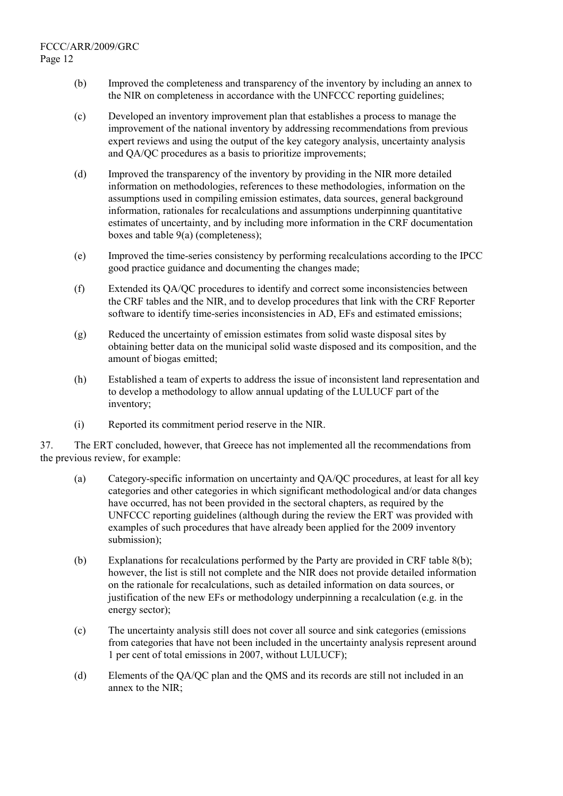- (b) Improved the completeness and transparency of the inventory by including an annex to the NIR on completeness in accordance with the UNFCCC reporting guidelines;
- (c) Developed an inventory improvement plan that establishes a process to manage the improvement of the national inventory by addressing recommendations from previous expert reviews and using the output of the key category analysis, uncertainty analysis and QA/QC procedures as a basis to prioritize improvements;
- (d) Improved the transparency of the inventory by providing in the NIR more detailed information on methodologies, references to these methodologies, information on the assumptions used in compiling emission estimates, data sources, general background information, rationales for recalculations and assumptions underpinning quantitative estimates of uncertainty, and by including more information in the CRF documentation boxes and table 9(a) (completeness);
- (e) Improved the time-series consistency by performing recalculations according to the IPCC good practice guidance and documenting the changes made;
- (f) Extended its QA/QC procedures to identify and correct some inconsistencies between the CRF tables and the NIR, and to develop procedures that link with the CRF Reporter software to identify time-series inconsistencies in AD, EFs and estimated emissions;
- (g) Reduced the uncertainty of emission estimates from solid waste disposal sites by obtaining better data on the municipal solid waste disposed and its composition, and the amount of biogas emitted;
- (h) Established a team of experts to address the issue of inconsistent land representation and to develop a methodology to allow annual updating of the LULUCF part of the inventory;
- (i) Reported its commitment period reserve in the NIR.

37. The ERT concluded, however, that Greece has not implemented all the recommendations from the previous review, for example:

- (a) Category-specific information on uncertainty and QA/QC procedures, at least for all key categories and other categories in which significant methodological and/or data changes have occurred, has not been provided in the sectoral chapters, as required by the UNFCCC reporting guidelines (although during the review the ERT was provided with examples of such procedures that have already been applied for the 2009 inventory submission);
- (b) Explanations for recalculations performed by the Party are provided in CRF table 8(b); however, the list is still not complete and the NIR does not provide detailed information on the rationale for recalculations, such as detailed information on data sources, or justification of the new EFs or methodology underpinning a recalculation (e.g. in the energy sector);
- (c) The uncertainty analysis still does not cover all source and sink categories (emissions from categories that have not been included in the uncertainty analysis represent around 1 per cent of total emissions in 2007, without LULUCF);
- (d) Elements of the QA/QC plan and the QMS and its records are still not included in an annex to the NIR;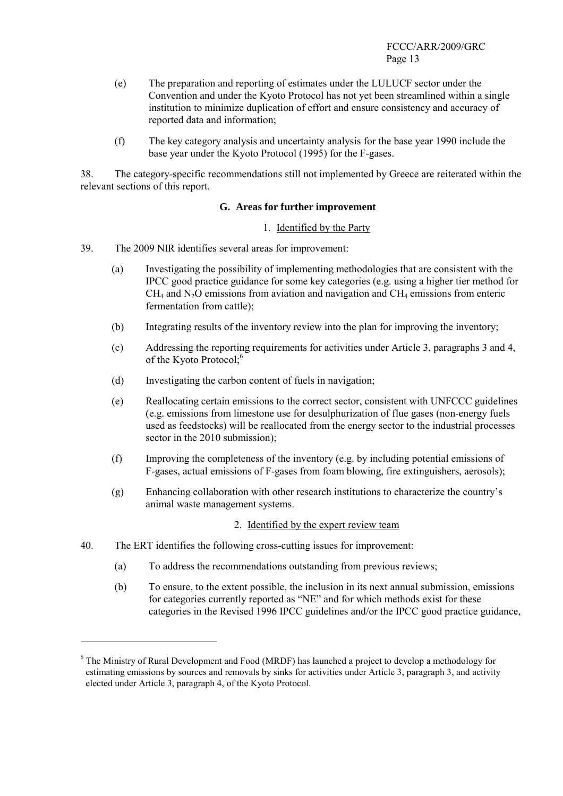- (e) The preparation and reporting of estimates under the LULUCF sector under the Convention and under the Kyoto Protocol has not yet been streamlined within a single institution to minimize duplication of effort and ensure consistency and accuracy of reported data and information;
- (f) The key category analysis and uncertainty analysis for the base year 1990 include the base year under the Kyoto Protocol (1995) for the F-gases.

38. The category-specific recommendations still not implemented by Greece are reiterated within the relevant sections of this report.

#### **G. Areas for further improvement**

#### 1. Identified by the Party

- 39. The 2009 NIR identifies several areas for improvement:
	- (a) Investigating the possibility of implementing methodologies that are consistent with the IPCC good practice guidance for some key categories (e.g. using a higher tier method for  $CH<sub>4</sub>$  and N<sub>2</sub>O emissions from aviation and navigation and  $CH<sub>4</sub>$  emissions from enteric fermentation from cattle);
	- (b) Integrating results of the inventory review into the plan for improving the inventory;
	- (c) Addressing the reporting requirements for activities under Article 3, paragraphs 3 and 4, of the Kyoto Protocol;<sup>6</sup>
	- (d) Investigating the carbon content of fuels in navigation;
	- (e) Reallocating certain emissions to the correct sector, consistent with UNFCCC guidelines (e.g. emissions from limestone use for desulphurization of flue gases (non-energy fuels used as feedstocks) will be reallocated from the energy sector to the industrial processes sector in the 2010 submission);
	- (f) Improving the completeness of the inventory (e.g. by including potential emissions of F-gases, actual emissions of F-gases from foam blowing, fire extinguishers, aerosols);
	- (g) Enhancing collaboration with other research institutions to characterize the country's animal waste management systems.

### 2. Identified by the expert review team

40. The ERT identifies the following cross-cutting issues for improvement:

 $\overline{a}$ 

- (a) To address the recommendations outstanding from previous reviews;
- (b) To ensure, to the extent possible, the inclusion in its next annual submission, emissions for categories currently reported as "NE" and for which methods exist for these categories in the Revised 1996 IPCC guidelines and/or the IPCC good practice guidance,

<sup>&</sup>lt;sup>6</sup> The Ministry of Rural Development and Food (MRDF) has launched a project to develop a methodology for estimating emissions by sources and removals by sinks for activities under Article 3, paragraph 3, and activity elected under Article 3, paragraph 4, of the Kyoto Protocol.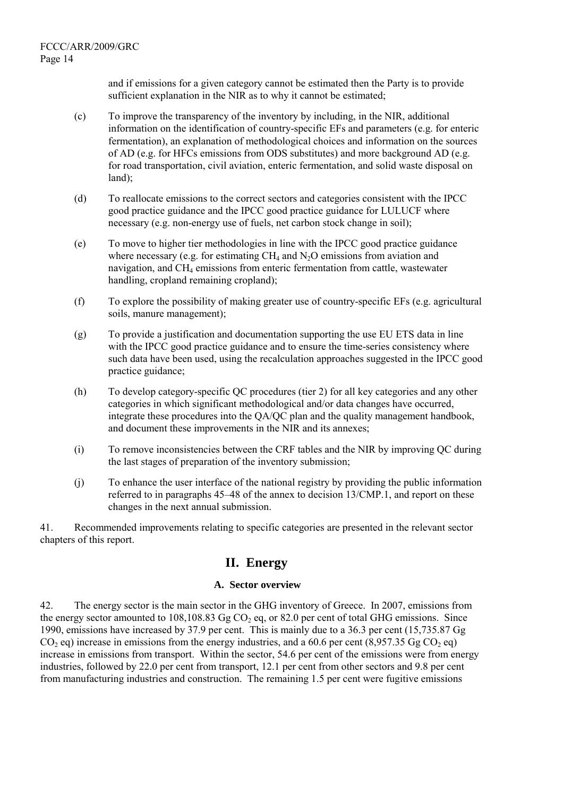and if emissions for a given category cannot be estimated then the Party is to provide sufficient explanation in the NIR as to why it cannot be estimated;

- (c) To improve the transparency of the inventory by including, in the NIR, additional information on the identification of country-specific EFs and parameters (e.g. for enteric fermentation), an explanation of methodological choices and information on the sources of AD (e.g. for HFCs emissions from ODS substitutes) and more background AD (e.g. for road transportation, civil aviation, enteric fermentation, and solid waste disposal on land);
- (d) To reallocate emissions to the correct sectors and categories consistent with the IPCC good practice guidance and the IPCC good practice guidance for LULUCF where necessary (e.g. non-energy use of fuels, net carbon stock change in soil);
- (e) To move to higher tier methodologies in line with the IPCC good practice guidance where necessary (e.g. for estimating  $CH_4$  and  $N_2O$  emissions from aviation and navigation, and  $CH<sub>4</sub>$  emissions from enteric fermentation from cattle, wastewater handling, cropland remaining cropland);
- (f) To explore the possibility of making greater use of country-specific EFs (e.g. agricultural soils, manure management);
- (g) To provide a justification and documentation supporting the use EU ETS data in line with the IPCC good practice guidance and to ensure the time-series consistency where such data have been used, using the recalculation approaches suggested in the IPCC good practice guidance;
- (h) To develop category-specific QC procedures (tier 2) for all key categories and any other categories in which significant methodological and/or data changes have occurred, integrate these procedures into the QA/QC plan and the quality management handbook, and document these improvements in the NIR and its annexes;
- (i) To remove inconsistencies between the CRF tables and the NIR by improving QC during the last stages of preparation of the inventory submission;
- (j) To enhance the user interface of the national registry by providing the public information referred to in paragraphs 45–48 of the annex to decision 13/CMP.1, and report on these changes in the next annual submission.

41. Recommended improvements relating to specific categories are presented in the relevant sector chapters of this report.

# **II. Energy**

## **A. Sector overview**

42. The energy sector is the main sector in the GHG inventory of Greece. In 2007, emissions from the energy sector amounted to 108,108.83 Gg  $CO<sub>2</sub>$  eq, or 82.0 per cent of total GHG emissions. Since 1990, emissions have increased by 37.9 per cent. This is mainly due to a 36.3 per cent (15,735.87 Gg  $CO<sub>2</sub>$  eq) increase in emissions from the energy industries, and a 60.6 per cent (8,957.35 Gg CO<sub>2</sub> eq) increase in emissions from transport. Within the sector, 54.6 per cent of the emissions were from energy industries, followed by 22.0 per cent from transport, 12.1 per cent from other sectors and 9.8 per cent from manufacturing industries and construction. The remaining 1.5 per cent were fugitive emissions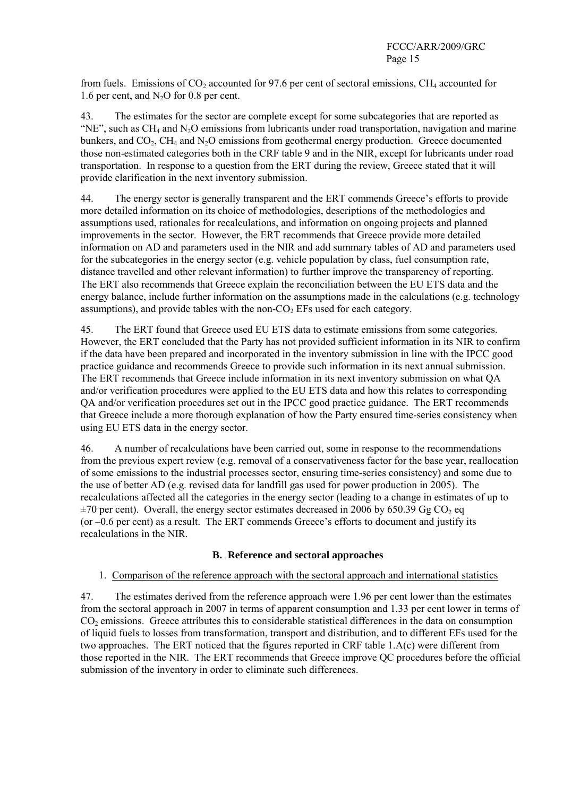from fuels. Emissions of  $CO_2$  accounted for 97.6 per cent of sectoral emissions, CH<sub>4</sub> accounted for 1.6 per cent, and  $N<sub>2</sub>O$  for 0.8 per cent.

43. The estimates for the sector are complete except for some subcategories that are reported as "NE", such as  $CH_4$  and  $N_2O$  emissions from lubricants under road transportation, navigation and marine bunkers, and  $CO<sub>2</sub>$ , CH<sub>4</sub> and N<sub>2</sub>O emissions from geothermal energy production. Greece documented those non-estimated categories both in the CRF table 9 and in the NIR, except for lubricants under road transportation. In response to a question from the ERT during the review, Greece stated that it will provide clarification in the next inventory submission.

44. The energy sector is generally transparent and the ERT commends Greece's efforts to provide more detailed information on its choice of methodologies, descriptions of the methodologies and assumptions used, rationales for recalculations, and information on ongoing projects and planned improvements in the sector. However, the ERT recommends that Greece provide more detailed information on AD and parameters used in the NIR and add summary tables of AD and parameters used for the subcategories in the energy sector (e.g. vehicle population by class, fuel consumption rate, distance travelled and other relevant information) to further improve the transparency of reporting. The ERT also recommends that Greece explain the reconciliation between the EU ETS data and the energy balance, include further information on the assumptions made in the calculations (e.g. technology assumptions), and provide tables with the non- $CO<sub>2</sub>$  EFs used for each category.

45. The ERT found that Greece used EU ETS data to estimate emissions from some categories. However, the ERT concluded that the Party has not provided sufficient information in its NIR to confirm if the data have been prepared and incorporated in the inventory submission in line with the IPCC good practice guidance and recommends Greece to provide such information in its next annual submission. The ERT recommends that Greece include information in its next inventory submission on what QA and/or verification procedures were applied to the EU ETS data and how this relates to corresponding QA and/or verification procedures set out in the IPCC good practice guidance. The ERT recommends that Greece include a more thorough explanation of how the Party ensured time-series consistency when using EU ETS data in the energy sector.

46. A number of recalculations have been carried out, some in response to the recommendations from the previous expert review (e.g. removal of a conservativeness factor for the base year, reallocation of some emissions to the industrial processes sector, ensuring time-series consistency) and some due to the use of better AD (e.g. revised data for landfill gas used for power production in 2005). The recalculations affected all the categories in the energy sector (leading to a change in estimates of up to  $\pm$ 70 per cent). Overall, the energy sector estimates decreased in 2006 by 650.39 Gg CO<sub>2</sub> eq (or –0.6 per cent) as a result. The ERT commends Greece's efforts to document and justify its recalculations in the NIR.

### **B. Reference and sectoral approaches**

### 1. Comparison of the reference approach with the sectoral approach and international statistics

47. The estimates derived from the reference approach were 1.96 per cent lower than the estimates from the sectoral approach in 2007 in terms of apparent consumption and 1.33 per cent lower in terms of CO<sub>2</sub> emissions. Greece attributes this to considerable statistical differences in the data on consumption of liquid fuels to losses from transformation, transport and distribution, and to different EFs used for the two approaches. The ERT noticed that the figures reported in CRF table 1.A(c) were different from those reported in the NIR. The ERT recommends that Greece improve QC procedures before the official submission of the inventory in order to eliminate such differences.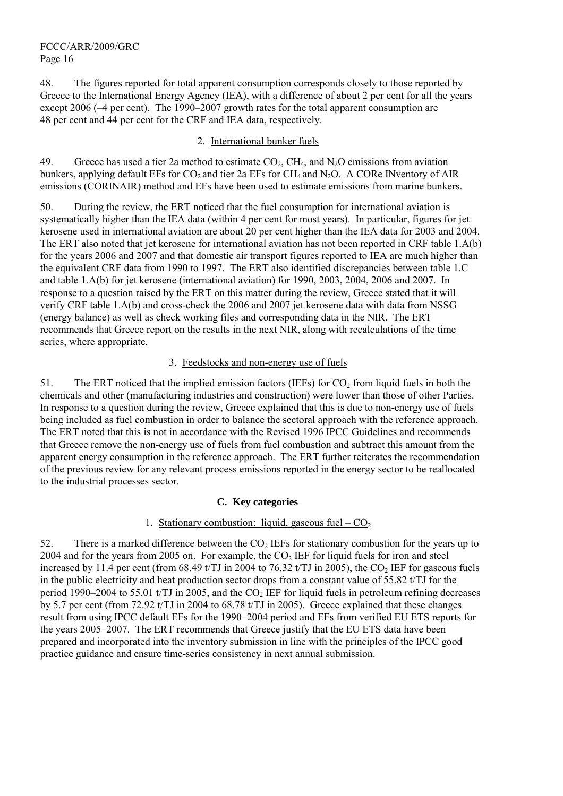48. The figures reported for total apparent consumption corresponds closely to those reported by Greece to the International Energy Agency (IEA), with a difference of about 2 per cent for all the years except 2006 (–4 per cent). The 1990–2007 growth rates for the total apparent consumption are 48 per cent and 44 per cent for the CRF and IEA data, respectively.

#### 2. International bunker fuels

49. Greece has used a tier 2a method to estimate  $CO_2$ ,  $CH_4$ , and  $N_2O$  emissions from aviation bunkers, applying default EFs for  $CO_2$  and tier 2a EFs for  $CH_4$  and N<sub>2</sub>O. A CORe INventory of AIR emissions (CORINAIR) method and EFs have been used to estimate emissions from marine bunkers.

50. During the review, the ERT noticed that the fuel consumption for international aviation is systematically higher than the IEA data (within 4 per cent for most years). In particular, figures for jet kerosene used in international aviation are about 20 per cent higher than the IEA data for 2003 and 2004. The ERT also noted that jet kerosene for international aviation has not been reported in CRF table 1.A(b) for the years 2006 and 2007 and that domestic air transport figures reported to IEA are much higher than the equivalent CRF data from 1990 to 1997. The ERT also identified discrepancies between table 1.C and table 1.A(b) for jet kerosene (international aviation) for 1990, 2003, 2004, 2006 and 2007. In response to a question raised by the ERT on this matter during the review, Greece stated that it will verify CRF table 1.A(b) and cross-check the 2006 and 2007 jet kerosene data with data from NSSG (energy balance) as well as check working files and corresponding data in the NIR. The ERT recommends that Greece report on the results in the next NIR, along with recalculations of the time series, where appropriate.

### 3. Feedstocks and non-energy use of fuels

51. The ERT noticed that the implied emission factors (IEFs) for  $CO<sub>2</sub>$  from liquid fuels in both the chemicals and other (manufacturing industries and construction) were lower than those of other Parties. In response to a question during the review, Greece explained that this is due to non-energy use of fuels being included as fuel combustion in order to balance the sectoral approach with the reference approach. The ERT noted that this is not in accordance with the Revised 1996 IPCC Guidelines and recommends that Greece remove the non-energy use of fuels from fuel combustion and subtract this amount from the apparent energy consumption in the reference approach. The ERT further reiterates the recommendation of the previous review for any relevant process emissions reported in the energy sector to be reallocated to the industrial processes sector.

### **C. Key categories**

### 1. Stationary combustion: liquid, gaseous fuel  $-CO<sub>2</sub>$

52. There is a marked difference between the  $CO<sub>2</sub> IEFs$  for stationary combustion for the years up to  $2004$  and for the years from 2005 on. For example, the  $CO<sub>2</sub>$  IEF for liquid fuels for iron and steel increased by 11.4 per cent (from  $68.49$  t/TJ in 2004 to 76.32 t/TJ in 2005), the CO<sub>2</sub> IEF for gaseous fuels in the public electricity and heat production sector drops from a constant value of 55.82 t/TJ for the period 1990–2004 to 55.01 t/TJ in 2005, and the  $CO<sub>2</sub> IEF$  for liquid fuels in petroleum refining decreases by 5.7 per cent (from 72.92 t/TJ in 2004 to 68.78 t/TJ in 2005). Greece explained that these changes result from using IPCC default EFs for the 1990–2004 period and EFs from verified EU ETS reports for the years 2005–2007. The ERT recommends that Greece justify that the EU ETS data have been prepared and incorporated into the inventory submission in line with the principles of the IPCC good practice guidance and ensure time-series consistency in next annual submission.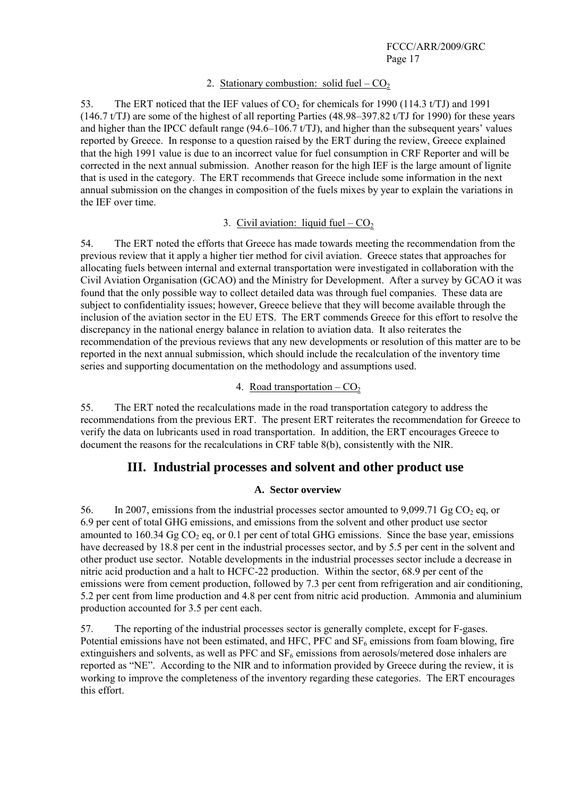#### 2. Stationary combustion: solid fuel  $-CO<sub>2</sub>$

53. The ERT noticed that the IEF values of  $CO<sub>2</sub>$  for chemicals for 1990 (114.3 t/TJ) and 1991 (146.7 t/TJ) are some of the highest of all reporting Parties (48.98–397.82 t/TJ for 1990) for these years and higher than the IPCC default range (94.6–106.7 t/TJ), and higher than the subsequent years' values reported by Greece. In response to a question raised by the ERT during the review, Greece explained that the high 1991 value is due to an incorrect value for fuel consumption in CRF Reporter and will be corrected in the next annual submission. Another reason for the high IEF is the large amount of lignite that is used in the category. The ERT recommends that Greece include some information in the next annual submission on the changes in composition of the fuels mixes by year to explain the variations in the IEF over time.

#### 3. Civil aviation: liquid fuel –  $CO<sub>2</sub>$

54. The ERT noted the efforts that Greece has made towards meeting the recommendation from the previous review that it apply a higher tier method for civil aviation. Greece states that approaches for allocating fuels between internal and external transportation were investigated in collaboration with the Civil Aviation Organisation (GCAO) and the Ministry for Development. After a survey by GCAO it was found that the only possible way to collect detailed data was through fuel companies. These data are subject to confidentiality issues; however, Greece believe that they will become available through the inclusion of the aviation sector in the EU ETS. The ERT commends Greece for this effort to resolve the discrepancy in the national energy balance in relation to aviation data. It also reiterates the recommendation of the previous reviews that any new developments or resolution of this matter are to be reported in the next annual submission, which should include the recalculation of the inventory time series and supporting documentation on the methodology and assumptions used.

## 4. Road transportation  $-CO<sub>2</sub>$

55. The ERT noted the recalculations made in the road transportation category to address the recommendations from the previous ERT. The present ERT reiterates the recommendation for Greece to verify the data on lubricants used in road transportation. In addition, the ERT encourages Greece to document the reasons for the recalculations in CRF table 8(b), consistently with the NIR.

### **III. Industrial processes and solvent and other product use**

#### **A. Sector overview**

56. In 2007, emissions from the industrial processes sector amounted to  $9,099.71$  Gg CO<sub>2</sub> eq, or 6.9 per cent of total GHG emissions, and emissions from the solvent and other product use sector amounted to 160.34 Gg  $CO<sub>2</sub>$  eq, or 0.1 per cent of total GHG emissions. Since the base year, emissions have decreased by 18.8 per cent in the industrial processes sector, and by 5.5 per cent in the solvent and other product use sector. Notable developments in the industrial processes sector include a decrease in nitric acid production and a halt to HCFC-22 production. Within the sector, 68.9 per cent of the emissions were from cement production, followed by 7.3 per cent from refrigeration and air conditioning, 5.2 per cent from lime production and 4.8 per cent from nitric acid production. Ammonia and aluminium production accounted for 3.5 per cent each.

57. The reporting of the industrial processes sector is generally complete, except for F-gases. Potential emissions have not been estimated, and HFC, PFC and  $SF<sub>6</sub>$  emissions from foam blowing, fire extinguishers and solvents, as well as PFC and  $SF_6$  emissions from aerosols/metered dose inhalers are reported as "NE". According to the NIR and to information provided by Greece during the review, it is working to improve the completeness of the inventory regarding these categories. The ERT encourages this effort.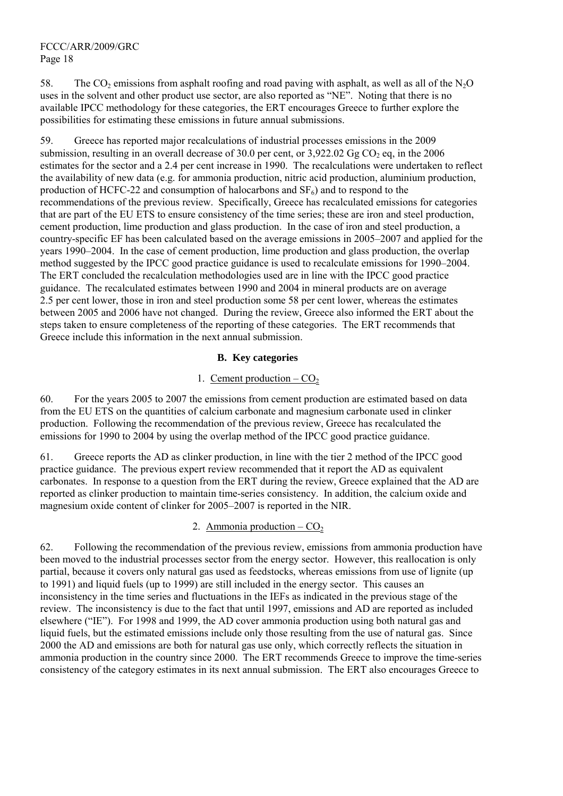58. The CO<sub>2</sub> emissions from asphalt roofing and road paving with asphalt, as well as all of the N<sub>2</sub>O uses in the solvent and other product use sector, are also reported as "NE". Noting that there is no available IPCC methodology for these categories, the ERT encourages Greece to further explore the possibilities for estimating these emissions in future annual submissions.

59. Greece has reported major recalculations of industrial processes emissions in the 2009 submission, resulting in an overall decrease of 30.0 per cent, or  $3.922.02$  Gg CO<sub>2</sub> eq, in the 2006 estimates for the sector and a 2.4 per cent increase in 1990. The recalculations were undertaken to reflect the availability of new data (e.g. for ammonia production, nitric acid production, aluminium production, production of HCFC-22 and consumption of halocarbons and  $SF<sub>6</sub>$ ) and to respond to the recommendations of the previous review. Specifically, Greece has recalculated emissions for categories that are part of the EU ETS to ensure consistency of the time series; these are iron and steel production, cement production, lime production and glass production. In the case of iron and steel production, a country-specific EF has been calculated based on the average emissions in 2005–2007 and applied for the years 1990–2004. In the case of cement production, lime production and glass production, the overlap method suggested by the IPCC good practice guidance is used to recalculate emissions for 1990–2004. The ERT concluded the recalculation methodologies used are in line with the IPCC good practice guidance. The recalculated estimates between 1990 and 2004 in mineral products are on average 2.5 per cent lower, those in iron and steel production some 58 per cent lower, whereas the estimates between 2005 and 2006 have not changed. During the review, Greece also informed the ERT about the steps taken to ensure completeness of the reporting of these categories. The ERT recommends that Greece include this information in the next annual submission.

#### **B. Key categories**

#### 1. Cement production  $-CO<sub>2</sub>$

60. For the years 2005 to 2007 the emissions from cement production are estimated based on data from the EU ETS on the quantities of calcium carbonate and magnesium carbonate used in clinker production. Following the recommendation of the previous review, Greece has recalculated the emissions for 1990 to 2004 by using the overlap method of the IPCC good practice guidance.

61. Greece reports the AD as clinker production, in line with the tier 2 method of the IPCC good practice guidance. The previous expert review recommended that it report the AD as equivalent carbonates. In response to a question from the ERT during the review, Greece explained that the AD are reported as clinker production to maintain time-series consistency. In addition, the calcium oxide and magnesium oxide content of clinker for 2005–2007 is reported in the NIR.

#### 2. Ammonia production –  $CO<sub>2</sub>$

62. Following the recommendation of the previous review, emissions from ammonia production have been moved to the industrial processes sector from the energy sector. However, this reallocation is only partial, because it covers only natural gas used as feedstocks, whereas emissions from use of lignite (up to 1991) and liquid fuels (up to 1999) are still included in the energy sector. This causes an inconsistency in the time series and fluctuations in the IEFs as indicated in the previous stage of the review. The inconsistency is due to the fact that until 1997, emissions and AD are reported as included elsewhere ("IE"). For 1998 and 1999, the AD cover ammonia production using both natural gas and liquid fuels, but the estimated emissions include only those resulting from the use of natural gas. Since 2000 the AD and emissions are both for natural gas use only, which correctly reflects the situation in ammonia production in the country since 2000. The ERT recommends Greece to improve the time-series consistency of the category estimates in its next annual submission. The ERT also encourages Greece to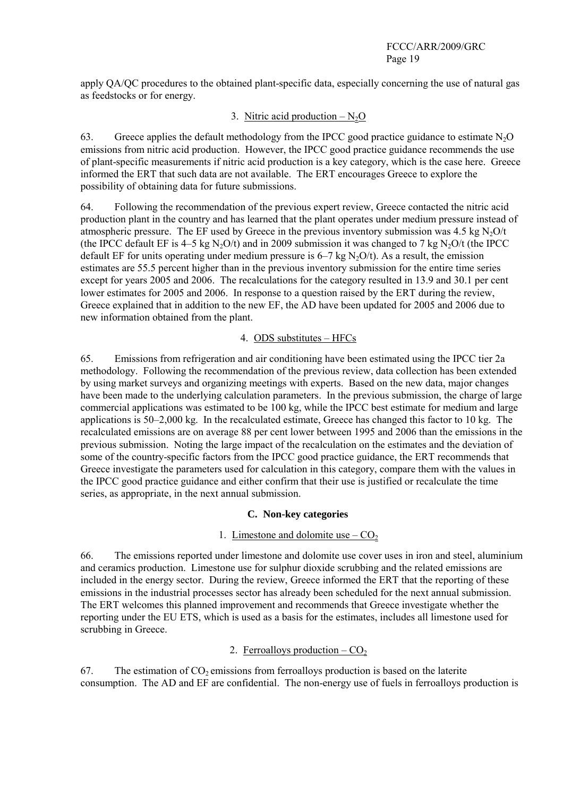apply QA/QC procedures to the obtained plant-specific data, especially concerning the use of natural gas as feedstocks or for energy.

## 3. Nitric acid production  $-N<sub>2</sub>O$

63. Greece applies the default methodology from the IPCC good practice guidance to estimate  $N_2O$ emissions from nitric acid production. However, the IPCC good practice guidance recommends the use of plant-specific measurements if nitric acid production is a key category, which is the case here. Greece informed the ERT that such data are not available. The ERT encourages Greece to explore the possibility of obtaining data for future submissions.

64. Following the recommendation of the previous expert review, Greece contacted the nitric acid production plant in the country and has learned that the plant operates under medium pressure instead of atmospheric pressure. The EF used by Greece in the previous inventory submission was 4.5 kg  $N<sub>2</sub>O/t$ (the IPCC default EF is 4–5 kg N<sub>2</sub>O/t) and in 2009 submission it was changed to 7 kg N<sub>2</sub>O/t (the IPCC default EF for units operating under medium pressure is  $6-7$  kg N<sub>2</sub>O/t). As a result, the emission estimates are 55.5 percent higher than in the previous inventory submission for the entire time series except for years 2005 and 2006. The recalculations for the category resulted in 13.9 and 30.1 per cent lower estimates for 2005 and 2006. In response to a question raised by the ERT during the review, Greece explained that in addition to the new EF, the AD have been updated for 2005 and 2006 due to new information obtained from the plant.

#### 4. ODS substitutes – HFCs

65. Emissions from refrigeration and air conditioning have been estimated using the IPCC tier 2a methodology. Following the recommendation of the previous review, data collection has been extended by using market surveys and organizing meetings with experts. Based on the new data, major changes have been made to the underlying calculation parameters. In the previous submission, the charge of large commercial applications was estimated to be 100 kg, while the IPCC best estimate for medium and large applications is 50–2,000 kg. In the recalculated estimate, Greece has changed this factor to 10 kg. The recalculated emissions are on average 88 per cent lower between 1995 and 2006 than the emissions in the previous submission. Noting the large impact of the recalculation on the estimates and the deviation of some of the country-specific factors from the IPCC good practice guidance, the ERT recommends that Greece investigate the parameters used for calculation in this category, compare them with the values in the IPCC good practice guidance and either confirm that their use is justified or recalculate the time series, as appropriate, in the next annual submission.

#### **C. Non-key categories**

### 1. Limestone and dolomite use  $-CO<sub>2</sub>$

66. The emissions reported under limestone and dolomite use cover uses in iron and steel, aluminium and ceramics production. Limestone use for sulphur dioxide scrubbing and the related emissions are included in the energy sector. During the review, Greece informed the ERT that the reporting of these emissions in the industrial processes sector has already been scheduled for the next annual submission. The ERT welcomes this planned improvement and recommends that Greece investigate whether the reporting under the EU ETS, which is used as a basis for the estimates, includes all limestone used for scrubbing in Greece.

### 2. Ferroalloys production  $-CO<sub>2</sub>$

67. The estimation of  $CO<sub>2</sub>$  emissions from ferroalloys production is based on the laterite consumption. The AD and EF are confidential. The non-energy use of fuels in ferroalloys production is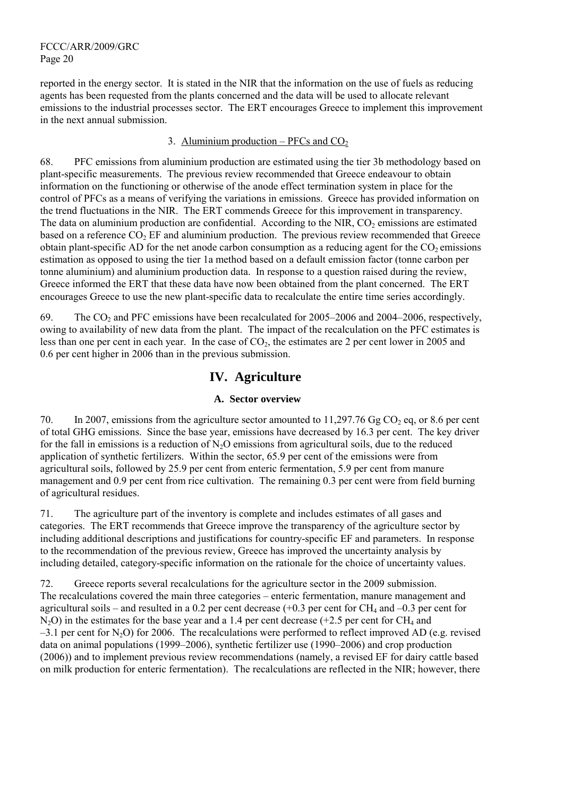reported in the energy sector. It is stated in the NIR that the information on the use of fuels as reducing agents has been requested from the plants concerned and the data will be used to allocate relevant emissions to the industrial processes sector. The ERT encourages Greece to implement this improvement in the next annual submission.

#### 3. Aluminium production – PFCs and  $CO<sub>2</sub>$

68. PFC emissions from aluminium production are estimated using the tier 3b methodology based on plant-specific measurements. The previous review recommended that Greece endeavour to obtain information on the functioning or otherwise of the anode effect termination system in place for the control of PFCs as a means of verifying the variations in emissions. Greece has provided information on the trend fluctuations in the NIR. The ERT commends Greece for this improvement in transparency. The data on aluminium production are confidential. According to the NIR,  $CO<sub>2</sub>$  emissions are estimated based on a reference  $CO<sub>2</sub> EF$  and aluminium production. The previous review recommended that Greece obtain plant-specific AD for the net anode carbon consumption as a reducing agent for the  $CO<sub>2</sub>$  emissions estimation as opposed to using the tier 1a method based on a default emission factor (tonne carbon per tonne aluminium) and aluminium production data. In response to a question raised during the review, Greece informed the ERT that these data have now been obtained from the plant concerned. The ERT encourages Greece to use the new plant-specific data to recalculate the entire time series accordingly.

69. The  $CO<sub>2</sub>$  and PFC emissions have been recalculated for 2005–2006 and 2004–2006, respectively, owing to availability of new data from the plant. The impact of the recalculation on the PFC estimates is less than one per cent in each year. In the case of  $CO<sub>2</sub>$ , the estimates are 2 per cent lower in 2005 and 0.6 per cent higher in 2006 than in the previous submission.

# **IV. Agriculture**

### **A. Sector overview**

70. In 2007, emissions from the agriculture sector amounted to 11,297.76 Gg CO<sub>2</sub> eq, or 8.6 per cent of total GHG emissions. Since the base year, emissions have decreased by 16.3 per cent. The key driver for the fall in emissions is a reduction of  $N<sub>2</sub>O$  emissions from agricultural soils, due to the reduced application of synthetic fertilizers. Within the sector, 65.9 per cent of the emissions were from agricultural soils, followed by 25.9 per cent from enteric fermentation, 5.9 per cent from manure management and 0.9 per cent from rice cultivation. The remaining 0.3 per cent were from field burning of agricultural residues.

71. The agriculture part of the inventory is complete and includes estimates of all gases and categories. The ERT recommends that Greece improve the transparency of the agriculture sector by including additional descriptions and justifications for country-specific EF and parameters. In response to the recommendation of the previous review, Greece has improved the uncertainty analysis by including detailed, category-specific information on the rationale for the choice of uncertainty values.

72. Greece reports several recalculations for the agriculture sector in the 2009 submission. The recalculations covered the main three categories – enteric fermentation, manure management and agricultural soils – and resulted in a 0.2 per cent decrease  $(+0.3$  per cent for CH<sub>4</sub> and  $-0.3$  per cent for  $N_2O$ ) in the estimates for the base year and a 1.4 per cent decrease (+2.5 per cent for CH<sub>4</sub> and  $-3.1$  per cent for N<sub>2</sub>O) for 2006. The recalculations were performed to reflect improved AD (e.g. revised data on animal populations (1999–2006), synthetic fertilizer use (1990–2006) and crop production (2006)) and to implement previous review recommendations (namely, a revised EF for dairy cattle based on milk production for enteric fermentation). The recalculations are reflected in the NIR; however, there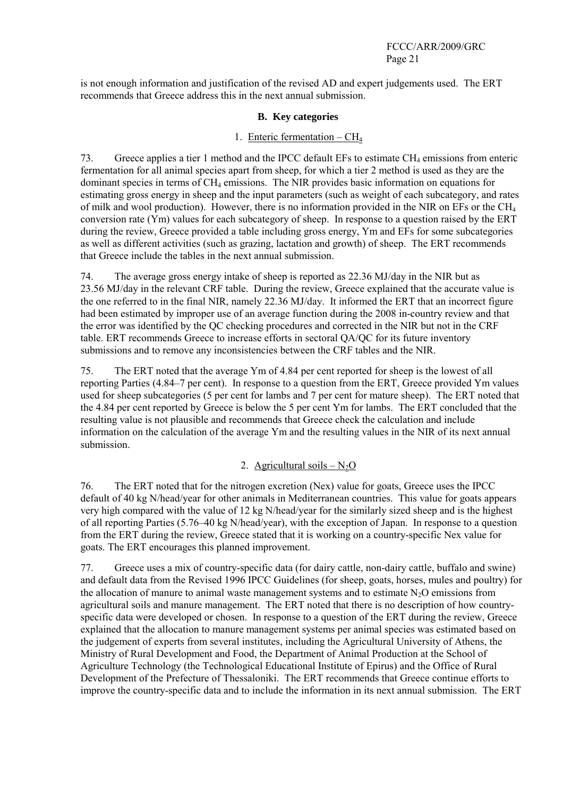is not enough information and justification of the revised AD and expert judgements used. The ERT recommends that Greece address this in the next annual submission.

#### **B. Key categories**

#### 1. Enteric fermentation  $-CH<sub>4</sub>$

73. Greece applies a tier 1 method and the IPCC default EFs to estimate CH<sub>4</sub> emissions from enteric fermentation for all animal species apart from sheep, for which a tier 2 method is used as they are the dominant species in terms of  $CH_4$  emissions. The NIR provides basic information on equations for estimating gross energy in sheep and the input parameters (such as weight of each subcategory, and rates of milk and wool production). However, there is no information provided in the NIR on EFs or the CH4 conversion rate (Ym) values for each subcategory of sheep. In response to a question raised by the ERT during the review, Greece provided a table including gross energy, Ym and EFs for some subcategories as well as different activities (such as grazing, lactation and growth) of sheep. The ERT recommends that Greece include the tables in the next annual submission.

74. The average gross energy intake of sheep is reported as 22.36 MJ/day in the NIR but as 23.56 MJ/day in the relevant CRF table. During the review, Greece explained that the accurate value is the one referred to in the final NIR, namely 22.36 MJ/day. It informed the ERT that an incorrect figure had been estimated by improper use of an average function during the 2008 in-country review and that the error was identified by the QC checking procedures and corrected in the NIR but not in the CRF table. ERT recommends Greece to increase efforts in sectoral QA/QC for its future inventory submissions and to remove any inconsistencies between the CRF tables and the NIR.

75. The ERT noted that the average Ym of 4.84 per cent reported for sheep is the lowest of all reporting Parties (4.84–7 per cent). In response to a question from the ERT, Greece provided Ym values used for sheep subcategories (5 per cent for lambs and 7 per cent for mature sheep). The ERT noted that the 4.84 per cent reported by Greece is below the 5 per cent Ym for lambs. The ERT concluded that the resulting value is not plausible and recommends that Greece check the calculation and include information on the calculation of the average Ym and the resulting values in the NIR of its next annual submission.

### 2. Agricultural soils  $-N<sub>2</sub>O$

76. The ERT noted that for the nitrogen excretion (Nex) value for goats, Greece uses the IPCC default of 40 kg N/head/year for other animals in Mediterranean countries. This value for goats appears very high compared with the value of 12 kg N/head/year for the similarly sized sheep and is the highest of all reporting Parties (5.76–40 kg N/head/year), with the exception of Japan. In response to a question from the ERT during the review, Greece stated that it is working on a country-specific Nex value for goats. The ERT encourages this planned improvement.

77. Greece uses a mix of country-specific data (for dairy cattle, non-dairy cattle, buffalo and swine) and default data from the Revised 1996 IPCC Guidelines (for sheep, goats, horses, mules and poultry) for the allocation of manure to animal waste management systems and to estimate  $N_2O$  emissions from agricultural soils and manure management. The ERT noted that there is no description of how countryspecific data were developed or chosen. In response to a question of the ERT during the review, Greece explained that the allocation to manure management systems per animal species was estimated based on the judgement of experts from several institutes, including the Agricultural University of Athens, the Ministry of Rural Development and Food, the Department of Animal Production at the School of Agriculture Technology (the Technological Educational Institute of Epirus) and the Office of Rural Development of the Prefecture of Thessaloniki. The ERT recommends that Greece continue efforts to improve the country-specific data and to include the information in its next annual submission. The ERT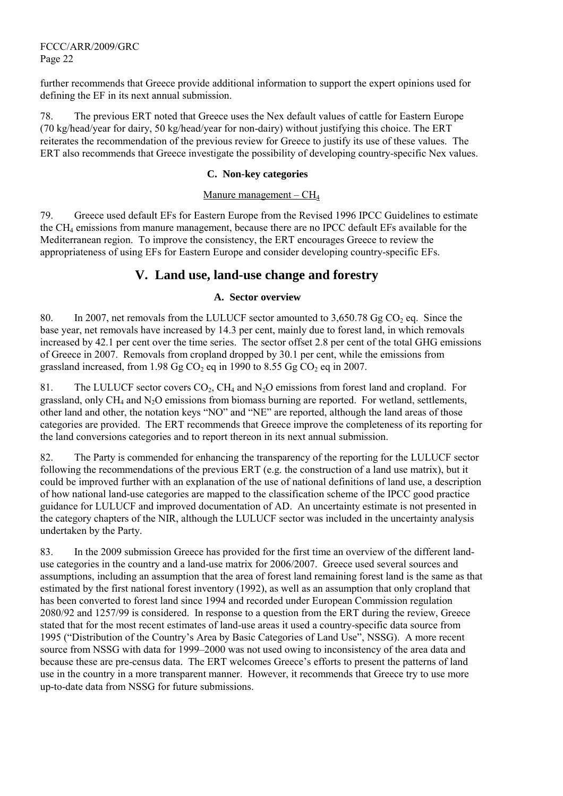further recommends that Greece provide additional information to support the expert opinions used for defining the EF in its next annual submission.

78. The previous ERT noted that Greece uses the Nex default values of cattle for Eastern Europe (70 kg/head/year for dairy, 50 kg/head/year for non-dairy) without justifying this choice. The ERT reiterates the recommendation of the previous review for Greece to justify its use of these values. The ERT also recommends that Greece investigate the possibility of developing country-specific Nex values.

#### **C. Non-key categories**

#### Manure management –  $CH<sub>4</sub>$

79. Greece used default EFs for Eastern Europe from the Revised 1996 IPCC Guidelines to estimate the CH4 emissions from manure management, because there are no IPCC default EFs available for the Mediterranean region. To improve the consistency, the ERT encourages Greece to review the appropriateness of using EFs for Eastern Europe and consider developing country-specific EFs.

# **V. Land use, land-use change and forestry**

#### **A. Sector overview**

80. In 2007, net removals from the LULUCF sector amounted to  $3.650.78$  Gg CO<sub>2</sub> eq. Since the base year, net removals have increased by 14.3 per cent, mainly due to forest land, in which removals increased by 42.1 per cent over the time series. The sector offset 2.8 per cent of the total GHG emissions of Greece in 2007. Removals from cropland dropped by 30.1 per cent, while the emissions from grassland increased, from 1.98 Gg  $CO<sub>2</sub>$  eq in 1990 to 8.55 Gg  $CO<sub>2</sub>$  eq in 2007.

81. The LULUCF sector covers  $CO_2$ , CH<sub>4</sub> and N<sub>2</sub>O emissions from forest land and cropland. For grassland, only  $CH_4$  and  $N_2O$  emissions from biomass burning are reported. For wetland, settlements, other land and other, the notation keys "NO" and "NE" are reported, although the land areas of those categories are provided. The ERT recommends that Greece improve the completeness of its reporting for the land conversions categories and to report thereon in its next annual submission.

82. The Party is commended for enhancing the transparency of the reporting for the LULUCF sector following the recommendations of the previous ERT (e.g. the construction of a land use matrix), but it could be improved further with an explanation of the use of national definitions of land use, a description of how national land-use categories are mapped to the classification scheme of the IPCC good practice guidance for LULUCF and improved documentation of AD. An uncertainty estimate is not presented in the category chapters of the NIR, although the LULUCF sector was included in the uncertainty analysis undertaken by the Party.

83. In the 2009 submission Greece has provided for the first time an overview of the different landuse categories in the country and a land-use matrix for 2006/2007. Greece used several sources and assumptions, including an assumption that the area of forest land remaining forest land is the same as that estimated by the first national forest inventory (1992), as well as an assumption that only cropland that has been converted to forest land since 1994 and recorded under European Commission regulation 2080/92 and 1257/99 is considered. In response to a question from the ERT during the review, Greece stated that for the most recent estimates of land-use areas it used a country-specific data source from 1995 ("Distribution of the Country's Area by Basic Categories of Land Use", NSSG). A more recent source from NSSG with data for 1999–2000 was not used owing to inconsistency of the area data and because these are pre-census data. The ERT welcomes Greece's efforts to present the patterns of land use in the country in a more transparent manner. However, it recommends that Greece try to use more up-to-date data from NSSG for future submissions.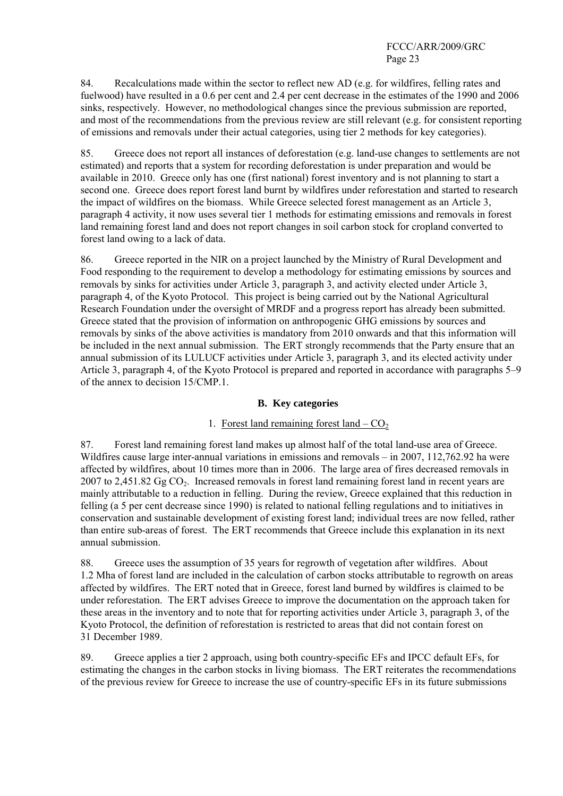84. Recalculations made within the sector to reflect new AD (e.g. for wildfires, felling rates and fuelwood) have resulted in a 0.6 per cent and 2.4 per cent decrease in the estimates of the 1990 and 2006 sinks, respectively. However, no methodological changes since the previous submission are reported, and most of the recommendations from the previous review are still relevant (e.g. for consistent reporting of emissions and removals under their actual categories, using tier 2 methods for key categories).

85. Greece does not report all instances of deforestation (e.g. land-use changes to settlements are not estimated) and reports that a system for recording deforestation is under preparation and would be available in 2010. Greece only has one (first national) forest inventory and is not planning to start a second one. Greece does report forest land burnt by wildfires under reforestation and started to research the impact of wildfires on the biomass. While Greece selected forest management as an Article 3, paragraph 4 activity, it now uses several tier 1 methods for estimating emissions and removals in forest land remaining forest land and does not report changes in soil carbon stock for cropland converted to forest land owing to a lack of data.

86. Greece reported in the NIR on a project launched by the Ministry of Rural Development and Food responding to the requirement to develop a methodology for estimating emissions by sources and removals by sinks for activities under Article 3, paragraph 3, and activity elected under Article 3, paragraph 4, of the Kyoto Protocol. This project is being carried out by the National Agricultural Research Foundation under the oversight of MRDF and a progress report has already been submitted. Greece stated that the provision of information on anthropogenic GHG emissions by sources and removals by sinks of the above activities is mandatory from 2010 onwards and that this information will be included in the next annual submission. The ERT strongly recommends that the Party ensure that an annual submission of its LULUCF activities under Article 3, paragraph 3, and its elected activity under Article 3, paragraph 4, of the Kyoto Protocol is prepared and reported in accordance with paragraphs 5–9 of the annex to decision 15/CMP.1.

### **B. Key categories**

## 1. Forest land remaining forest land  $-CO<sub>2</sub>$

87. Forest land remaining forest land makes up almost half of the total land-use area of Greece. Wildfires cause large inter-annual variations in emissions and removals – in 2007, 112,762.92 ha were affected by wildfires, about 10 times more than in 2006. The large area of fires decreased removals in 2007 to 2,451.82  $GgCO<sub>2</sub>$ . Increased removals in forest land remaining forest land in recent years are mainly attributable to a reduction in felling. During the review, Greece explained that this reduction in felling (a 5 per cent decrease since 1990) is related to national felling regulations and to initiatives in conservation and sustainable development of existing forest land; individual trees are now felled, rather than entire sub-areas of forest. The ERT recommends that Greece include this explanation in its next annual submission.

88. Greece uses the assumption of 35 years for regrowth of vegetation after wildfires. About 1.2 Mha of forest land are included in the calculation of carbon stocks attributable to regrowth on areas affected by wildfires. The ERT noted that in Greece, forest land burned by wildfires is claimed to be under reforestation. The ERT advises Greece to improve the documentation on the approach taken for these areas in the inventory and to note that for reporting activities under Article 3, paragraph 3, of the Kyoto Protocol, the definition of reforestation is restricted to areas that did not contain forest on 31 December 1989.

89. Greece applies a tier 2 approach, using both country-specific EFs and IPCC default EFs, for estimating the changes in the carbon stocks in living biomass. The ERT reiterates the recommendations of the previous review for Greece to increase the use of country-specific EFs in its future submissions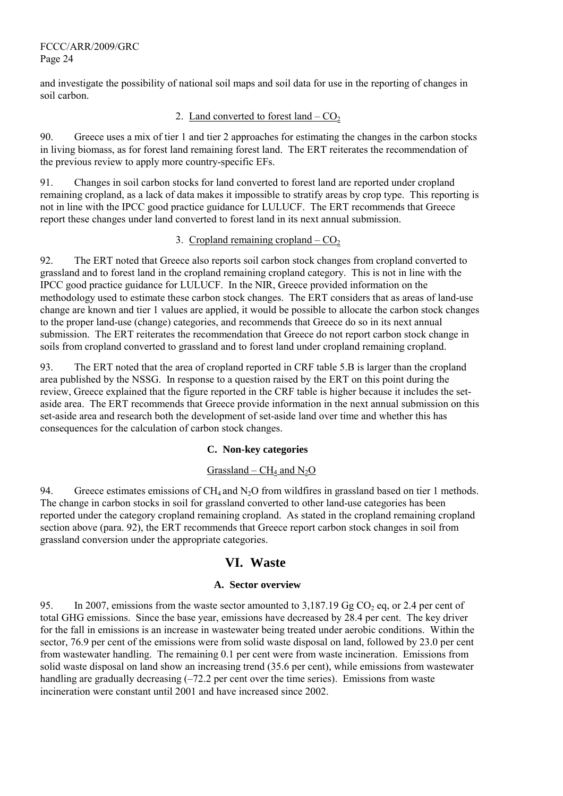and investigate the possibility of national soil maps and soil data for use in the reporting of changes in soil carbon.

#### 2. Land converted to forest land  $-CO<sub>2</sub>$

90. Greece uses a mix of tier 1 and tier 2 approaches for estimating the changes in the carbon stocks in living biomass, as for forest land remaining forest land. The ERT reiterates the recommendation of the previous review to apply more country-specific EFs.

91. Changes in soil carbon stocks for land converted to forest land are reported under cropland remaining cropland, as a lack of data makes it impossible to stratify areas by crop type. This reporting is not in line with the IPCC good practice guidance for LULUCF. The ERT recommends that Greece report these changes under land converted to forest land in its next annual submission.

### 3. Cropland remaining cropland –  $CO<sub>2</sub>$

92. The ERT noted that Greece also reports soil carbon stock changes from cropland converted to grassland and to forest land in the cropland remaining cropland category. This is not in line with the IPCC good practice guidance for LULUCF. In the NIR, Greece provided information on the methodology used to estimate these carbon stock changes. The ERT considers that as areas of land-use change are known and tier 1 values are applied, it would be possible to allocate the carbon stock changes to the proper land-use (change) categories, and recommends that Greece do so in its next annual submission. The ERT reiterates the recommendation that Greece do not report carbon stock change in soils from cropland converted to grassland and to forest land under cropland remaining cropland.

93. The ERT noted that the area of cropland reported in CRF table 5.B is larger than the cropland area published by the NSSG. In response to a question raised by the ERT on this point during the review, Greece explained that the figure reported in the CRF table is higher because it includes the setaside area. The ERT recommends that Greece provide information in the next annual submission on this set-aside area and research both the development of set-aside land over time and whether this has consequences for the calculation of carbon stock changes.

#### **C. Non-key categories**

### Grassland –  $CH_4$  and  $N_2O$

94. Greece estimates emissions of  $CH_4$  and  $N_2O$  from wildfires in grassland based on tier 1 methods. The change in carbon stocks in soil for grassland converted to other land-use categories has been reported under the category cropland remaining cropland. As stated in the cropland remaining cropland section above (para. 92), the ERT recommends that Greece report carbon stock changes in soil from grassland conversion under the appropriate categories.

## **VI. Waste**

### **A. Sector overview**

95. In 2007, emissions from the waste sector amounted to  $3.187.19$  Gg CO<sub>2</sub> eq, or 2.4 per cent of total GHG emissions. Since the base year, emissions have decreased by 28.4 per cent. The key driver for the fall in emissions is an increase in wastewater being treated under aerobic conditions. Within the sector, 76.9 per cent of the emissions were from solid waste disposal on land, followed by 23.0 per cent from wastewater handling. The remaining 0.1 per cent were from waste incineration. Emissions from solid waste disposal on land show an increasing trend (35.6 per cent), while emissions from wastewater handling are gradually decreasing  $(-72.2$  per cent over the time series). Emissions from waste incineration were constant until 2001 and have increased since 2002.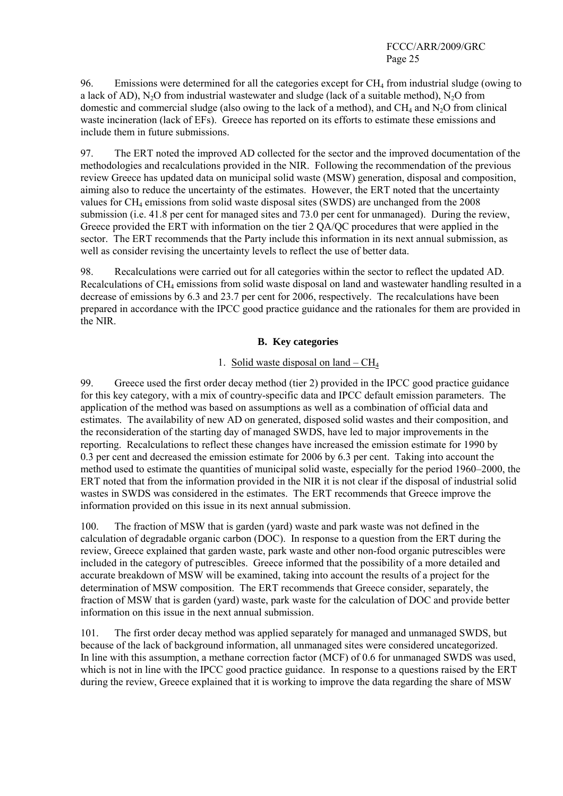96. Emissions were determined for all the categories except for  $CH<sub>4</sub>$  from industrial sludge (owing to a lack of AD), N<sub>2</sub>O from industrial wastewater and sludge (lack of a suitable method), N<sub>2</sub>O from domestic and commercial sludge (also owing to the lack of a method), and  $CH_4$  and  $N_2O$  from clinical waste incineration (lack of EFs). Greece has reported on its efforts to estimate these emissions and include them in future submissions.

97. The ERT noted the improved AD collected for the sector and the improved documentation of the methodologies and recalculations provided in the NIR. Following the recommendation of the previous review Greece has updated data on municipal solid waste (MSW) generation, disposal and composition, aiming also to reduce the uncertainty of the estimates. However, the ERT noted that the uncertainty values for  $CH_4$  emissions from solid waste disposal sites (SWDS) are unchanged from the 2008 submission (i.e. 41.8 per cent for managed sites and 73.0 per cent for unmanaged). During the review, Greece provided the ERT with information on the tier 2 QA/QC procedures that were applied in the sector. The ERT recommends that the Party include this information in its next annual submission, as well as consider revising the uncertainty levels to reflect the use of better data.

98. Recalculations were carried out for all categories within the sector to reflect the updated AD. Recalculations of CH4 emissions from solid waste disposal on land and wastewater handling resulted in a decrease of emissions by 6.3 and 23.7 per cent for 2006, respectively. The recalculations have been prepared in accordance with the IPCC good practice guidance and the rationales for them are provided in the NIR.

### **B. Key categories**

## 1. Solid waste disposal on land  $-CH<sub>4</sub>$

99. Greece used the first order decay method (tier 2) provided in the IPCC good practice guidance for this key category, with a mix of country-specific data and IPCC default emission parameters. The application of the method was based on assumptions as well as a combination of official data and estimates. The availability of new AD on generated, disposed solid wastes and their composition, and the reconsideration of the starting day of managed SWDS, have led to major improvements in the reporting. Recalculations to reflect these changes have increased the emission estimate for 1990 by 0.3 per cent and decreased the emission estimate for 2006 by 6.3 per cent. Taking into account the method used to estimate the quantities of municipal solid waste, especially for the period 1960–2000, the ERT noted that from the information provided in the NIR it is not clear if the disposal of industrial solid wastes in SWDS was considered in the estimates. The ERT recommends that Greece improve the information provided on this issue in its next annual submission.

100. The fraction of MSW that is garden (yard) waste and park waste was not defined in the calculation of degradable organic carbon (DOC). In response to a question from the ERT during the review, Greece explained that garden waste, park waste and other non-food organic putrescibles were included in the category of putrescibles. Greece informed that the possibility of a more detailed and accurate breakdown of MSW will be examined, taking into account the results of a project for the determination of MSW composition. The ERT recommends that Greece consider, separately, the fraction of MSW that is garden (yard) waste, park waste for the calculation of DOC and provide better information on this issue in the next annual submission.

101. The first order decay method was applied separately for managed and unmanaged SWDS, but because of the lack of background information, all unmanaged sites were considered uncategorized. In line with this assumption, a methane correction factor (MCF) of 0.6 for unmanaged SWDS was used, which is not in line with the IPCC good practice guidance. In response to a questions raised by the ERT during the review, Greece explained that it is working to improve the data regarding the share of MSW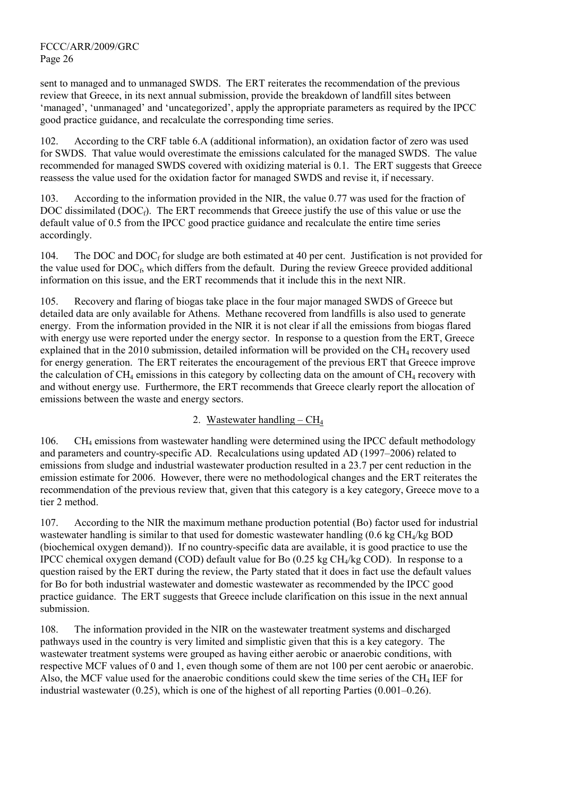sent to managed and to unmanaged SWDS. The ERT reiterates the recommendation of the previous review that Greece, in its next annual submission, provide the breakdown of landfill sites between 'managed', 'unmanaged' and 'uncategorized', apply the appropriate parameters as required by the IPCC good practice guidance, and recalculate the corresponding time series.

102. According to the CRF table 6.A (additional information), an oxidation factor of zero was used for SWDS. That value would overestimate the emissions calculated for the managed SWDS. The value recommended for managed SWDS covered with oxidizing material is 0.1. The ERT suggests that Greece reassess the value used for the oxidation factor for managed SWDS and revise it, if necessary.

103. According to the information provided in the NIR, the value 0.77 was used for the fraction of DOC dissimilated (DOC $_f$ ). The ERT recommends that Greece justify the use of this value or use the default value of 0.5 from the IPCC good practice guidance and recalculate the entire time series accordingly.

104. The DOC and DOC<sub>f</sub> for sludge are both estimated at 40 per cent. Justification is not provided for the value used for  $DOC<sub>f</sub>$ , which differs from the default. During the review Greece provided additional information on this issue, and the ERT recommends that it include this in the next NIR.

105. Recovery and flaring of biogas take place in the four major managed SWDS of Greece but detailed data are only available for Athens. Methane recovered from landfills is also used to generate energy. From the information provided in the NIR it is not clear if all the emissions from biogas flared with energy use were reported under the energy sector. In response to a question from the ERT, Greece explained that in the 2010 submission, detailed information will be provided on the  $CH<sub>4</sub>$  recovery used for energy generation. The ERT reiterates the encouragement of the previous ERT that Greece improve the calculation of  $CH_4$  emissions in this category by collecting data on the amount of  $CH_4$  recovery with and without energy use. Furthermore, the ERT recommends that Greece clearly report the allocation of emissions between the waste and energy sectors.

### 2. Wastewater handling –  $CH<sub>4</sub>$

106. CH4 emissions from wastewater handling were determined using the IPCC default methodology and parameters and country-specific AD. Recalculations using updated AD (1997–2006) related to emissions from sludge and industrial wastewater production resulted in a 23.7 per cent reduction in the emission estimate for 2006. However, there were no methodological changes and the ERT reiterates the recommendation of the previous review that, given that this category is a key category, Greece move to a tier 2 method.

107. According to the NIR the maximum methane production potential (Bo) factor used for industrial wastewater handling is similar to that used for domestic wastewater handling  $(0.6 \text{ kg CH}_4/\text{kg BOD})$ (biochemical oxygen demand)). If no country-specific data are available, it is good practice to use the IPCC chemical oxygen demand (COD) default value for Bo (0.25 kg  $CH<sub>4</sub>/kg$  COD). In response to a question raised by the ERT during the review, the Party stated that it does in fact use the default values for Bo for both industrial wastewater and domestic wastewater as recommended by the IPCC good practice guidance. The ERT suggests that Greece include clarification on this issue in the next annual submission.

108. The information provided in the NIR on the wastewater treatment systems and discharged pathways used in the country is very limited and simplistic given that this is a key category. The wastewater treatment systems were grouped as having either aerobic or anaerobic conditions, with respective MCF values of 0 and 1, even though some of them are not 100 per cent aerobic or anaerobic. Also, the MCF value used for the anaerobic conditions could skew the time series of the  $CH<sub>4</sub> IEF$  for industrial wastewater (0.25), which is one of the highest of all reporting Parties (0.001–0.26).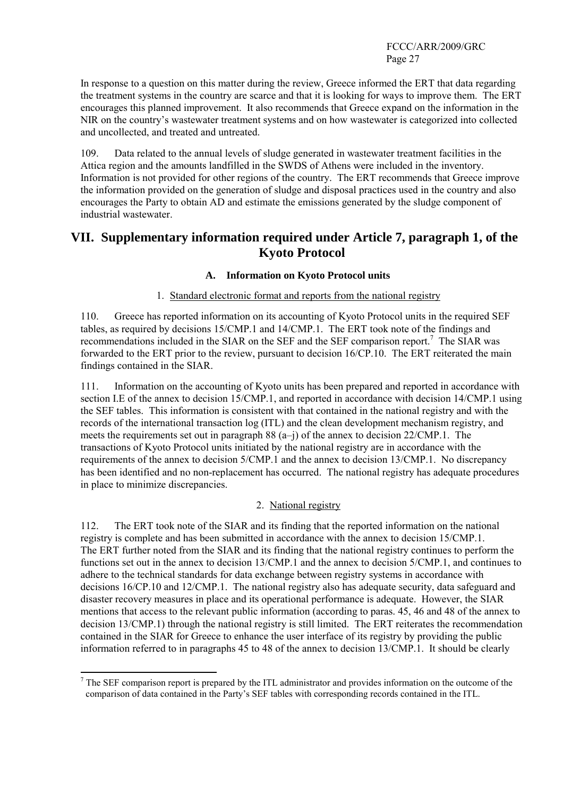In response to a question on this matter during the review, Greece informed the ERT that data regarding the treatment systems in the country are scarce and that it is looking for ways to improve them. The ERT encourages this planned improvement. It also recommends that Greece expand on the information in the NIR on the country's wastewater treatment systems and on how wastewater is categorized into collected and uncollected, and treated and untreated.

109. Data related to the annual levels of sludge generated in wastewater treatment facilities in the Attica region and the amounts landfilled in the SWDS of Athens were included in the inventory. Information is not provided for other regions of the country. The ERT recommends that Greece improve the information provided on the generation of sludge and disposal practices used in the country and also encourages the Party to obtain AD and estimate the emissions generated by the sludge component of industrial wastewater.

# **VII. Supplementary information required under Article 7, paragraph 1, of the Kyoto Protocol**

### **A. Information on Kyoto Protocol units**

### 1. Standard electronic format and reports from the national registry

110. Greece has reported information on its accounting of Kyoto Protocol units in the required SEF tables, as required by decisions 15/CMP.1 and 14/CMP.1. The ERT took note of the findings and recommendations included in the SIAR on the SEF and the SEF comparison report.<sup>7</sup> The SIAR was forwarded to the ERT prior to the review, pursuant to decision 16/CP.10. The ERT reiterated the main findings contained in the SIAR.

111. Information on the accounting of Kyoto units has been prepared and reported in accordance with section I.E of the annex to decision 15/CMP.1, and reported in accordance with decision 14/CMP.1 using the SEF tables. This information is consistent with that contained in the national registry and with the records of the international transaction log (ITL) and the clean development mechanism registry, and meets the requirements set out in paragraph 88 (a–j) of the annex to decision 22/CMP.1. The transactions of Kyoto Protocol units initiated by the national registry are in accordance with the requirements of the annex to decision 5/CMP.1 and the annex to decision 13/CMP.1. No discrepancy has been identified and no non-replacement has occurred. The national registry has adequate procedures in place to minimize discrepancies.

### 2. National registry

112. The ERT took note of the SIAR and its finding that the reported information on the national registry is complete and has been submitted in accordance with the annex to decision 15/CMP.1. The ERT further noted from the SIAR and its finding that the national registry continues to perform the functions set out in the annex to decision 13/CMP.1 and the annex to decision 5/CMP.1, and continues to adhere to the technical standards for data exchange between registry systems in accordance with decisions 16/CP.10 and 12/CMP.1. The national registry also has adequate security, data safeguard and disaster recovery measures in place and its operational performance is adequate. However, the SIAR mentions that access to the relevant public information (according to paras. 45, 46 and 48 of the annex to decision 13/CMP.1) through the national registry is still limited. The ERT reiterates the recommendation contained in the SIAR for Greece to enhance the user interface of its registry by providing the public information referred to in paragraphs 45 to 48 of the annex to decision 13/CMP.1. It should be clearly

 $<sup>7</sup>$  The SEF comparison report is prepared by the ITL administrator and provides information on the outcome of the</sup> comparison of data contained in the Party's SEF tables with corresponding records contained in the ITL.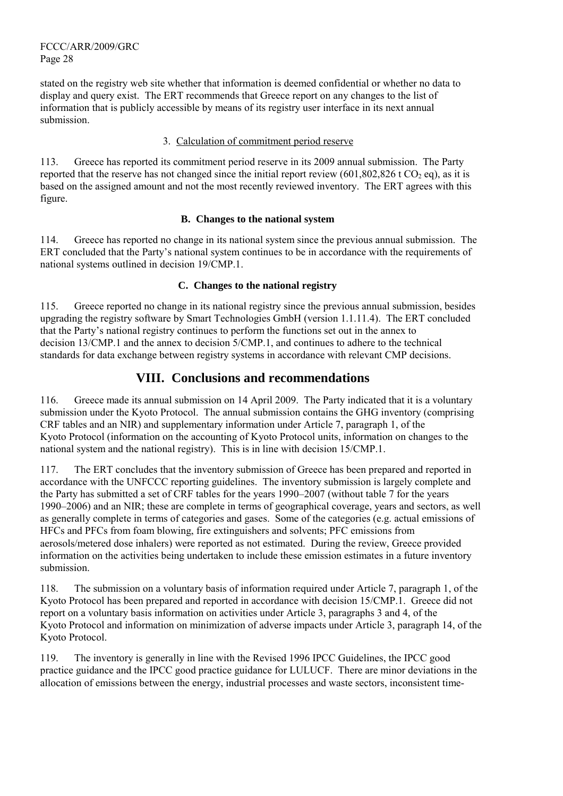stated on the registry web site whether that information is deemed confidential or whether no data to display and query exist. The ERT recommends that Greece report on any changes to the list of information that is publicly accessible by means of its registry user interface in its next annual submission.

### 3. Calculation of commitment period reserve

113. Greece has reported its commitment period reserve in its 2009 annual submission. The Party reported that the reserve has not changed since the initial report review  $(601,802,826 \text{ t CO}, \text{eq})$ , as it is based on the assigned amount and not the most recently reviewed inventory. The ERT agrees with this figure.

#### **B. Changes to the national system**

114. Greece has reported no change in its national system since the previous annual submission. The ERT concluded that the Party's national system continues to be in accordance with the requirements of national systems outlined in decision 19/CMP.1.

#### **C. Changes to the national registry**

115. Greece reported no change in its national registry since the previous annual submission, besides upgrading the registry software by Smart Technologies GmbH (version 1.1.11.4). The ERT concluded that the Party's national registry continues to perform the functions set out in the annex to decision 13/CMP.1 and the annex to decision 5/CMP.1, and continues to adhere to the technical standards for data exchange between registry systems in accordance with relevant CMP decisions.

# **VIII. Conclusions and recommendations**

116. Greece made its annual submission on 14 April 2009. The Party indicated that it is a voluntary submission under the Kyoto Protocol. The annual submission contains the GHG inventory (comprising CRF tables and an NIR) and supplementary information under Article 7, paragraph 1, of the Kyoto Protocol (information on the accounting of Kyoto Protocol units, information on changes to the national system and the national registry). This is in line with decision 15/CMP.1.

117. The ERT concludes that the inventory submission of Greece has been prepared and reported in accordance with the UNFCCC reporting guidelines. The inventory submission is largely complete and the Party has submitted a set of CRF tables for the years 1990–2007 (without table 7 for the years 1990–2006) and an NIR; these are complete in terms of geographical coverage, years and sectors, as well as generally complete in terms of categories and gases. Some of the categories (e.g. actual emissions of HFCs and PFCs from foam blowing, fire extinguishers and solvents; PFC emissions from aerosols/metered dose inhalers) were reported as not estimated. During the review, Greece provided information on the activities being undertaken to include these emission estimates in a future inventory submission.

118. The submission on a voluntary basis of information required under Article 7, paragraph 1, of the Kyoto Protocol has been prepared and reported in accordance with decision 15/CMP.1. Greece did not report on a voluntary basis information on activities under Article 3, paragraphs 3 and 4, of the Kyoto Protocol and information on minimization of adverse impacts under Article 3, paragraph 14, of the Kyoto Protocol.

119. The inventory is generally in line with the Revised 1996 IPCC Guidelines, the IPCC good practice guidance and the IPCC good practice guidance for LULUCF. There are minor deviations in the allocation of emissions between the energy, industrial processes and waste sectors, inconsistent time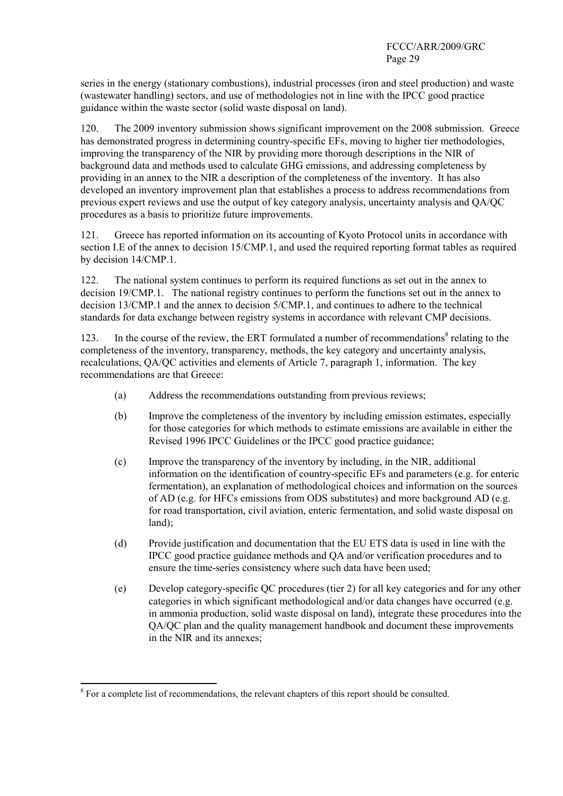series in the energy (stationary combustions), industrial processes (iron and steel production) and waste (wastewater handling) sectors, and use of methodologies not in line with the IPCC good practice guidance within the waste sector (solid waste disposal on land).

120. The 2009 inventory submission shows significant improvement on the 2008 submission. Greece has demonstrated progress in determining country-specific EFs, moving to higher tier methodologies, improving the transparency of the NIR by providing more thorough descriptions in the NIR of background data and methods used to calculate GHG emissions, and addressing completeness by providing in an annex to the NIR a description of the completeness of the inventory. It has also developed an inventory improvement plan that establishes a process to address recommendations from previous expert reviews and use the output of key category analysis, uncertainty analysis and QA/QC procedures as a basis to prioritize future improvements.

121. Greece has reported information on its accounting of Kyoto Protocol units in accordance with section I.E of the annex to decision 15/CMP.1, and used the required reporting format tables as required by decision 14/CMP.1.

122. The national system continues to perform its required functions as set out in the annex to decision 19/CMP.1. The national registry continues to perform the functions set out in the annex to decision 13/CMP.1 and the annex to decision 5/CMP.1, and continues to adhere to the technical standards for data exchange between registry systems in accordance with relevant CMP decisions.

123. In the course of the review, the ERT formulated a number of recommendations<sup>8</sup> relating to the completeness of the inventory, transparency, methods, the key category and uncertainty analysis, recalculations, QA/QC activities and elements of Article 7, paragraph 1, information. The key recommendations are that Greece:

- (a) Address the recommendations outstanding from previous reviews;
- (b) Improve the completeness of the inventory by including emission estimates, especially for those categories for which methods to estimate emissions are available in either the Revised 1996 IPCC Guidelines or the IPCC good practice guidance;
- (c) Improve the transparency of the inventory by including, in the NIR, additional information on the identification of country-specific EFs and parameters (e.g. for enteric fermentation), an explanation of methodological choices and information on the sources of AD (e.g. for HFCs emissions from ODS substitutes) and more background AD (e.g. for road transportation, civil aviation, enteric fermentation, and solid waste disposal on land);
- (d) Provide justification and documentation that the EU ETS data is used in line with the IPCC good practice guidance methods and QA and/or verification procedures and to ensure the time-series consistency where such data have been used;
- (e) Develop category-specific QC procedures (tier 2) for all key categories and for any other categories in which significant methodological and/or data changes have occurred (e.g. in ammonia production, solid waste disposal on land), integrate these procedures into the QA/QC plan and the quality management handbook and document these improvements in the NIR and its annexes;

 $\overline{a}$ 

 $8$  For a complete list of recommendations, the relevant chapters of this report should be consulted.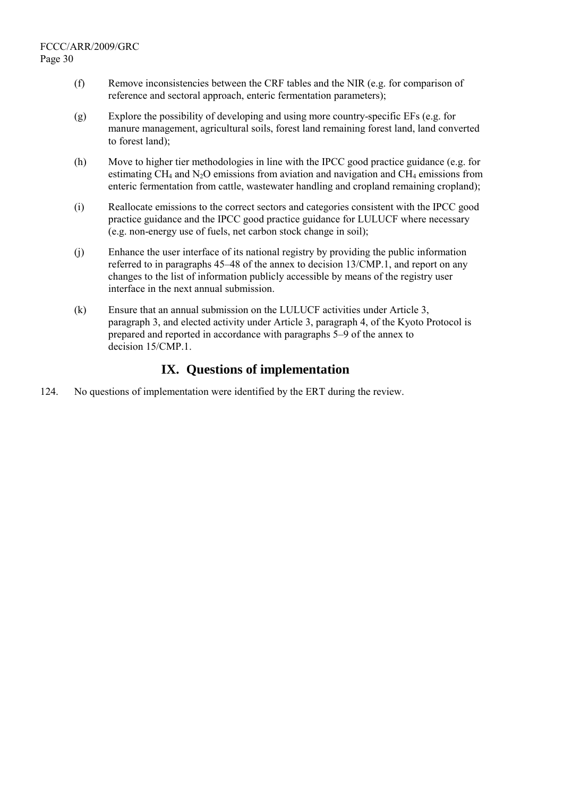- (f) Remove inconsistencies between the CRF tables and the NIR (e.g. for comparison of reference and sectoral approach, enteric fermentation parameters);
- (g) Explore the possibility of developing and using more country-specific EFs (e.g. for manure management, agricultural soils, forest land remaining forest land, land converted to forest land);
- (h) Move to higher tier methodologies in line with the IPCC good practice guidance (e.g. for estimating CH<sub>4</sub> and N<sub>2</sub>O emissions from aviation and navigation and CH<sub>4</sub> emissions from enteric fermentation from cattle, wastewater handling and cropland remaining cropland);
- (i) Reallocate emissions to the correct sectors and categories consistent with the IPCC good practice guidance and the IPCC good practice guidance for LULUCF where necessary (e.g. non-energy use of fuels, net carbon stock change in soil);
- (j) Enhance the user interface of its national registry by providing the public information referred to in paragraphs 45–48 of the annex to decision 13/CMP.1, and report on any changes to the list of information publicly accessible by means of the registry user interface in the next annual submission.
- (k) Ensure that an annual submission on the LULUCF activities under Article 3, paragraph 3, and elected activity under Article 3, paragraph 4, of the Kyoto Protocol is prepared and reported in accordance with paragraphs 5–9 of the annex to decision 15/CMP.1.

# **IX. Questions of implementation**

124. No questions of implementation were identified by the ERT during the review.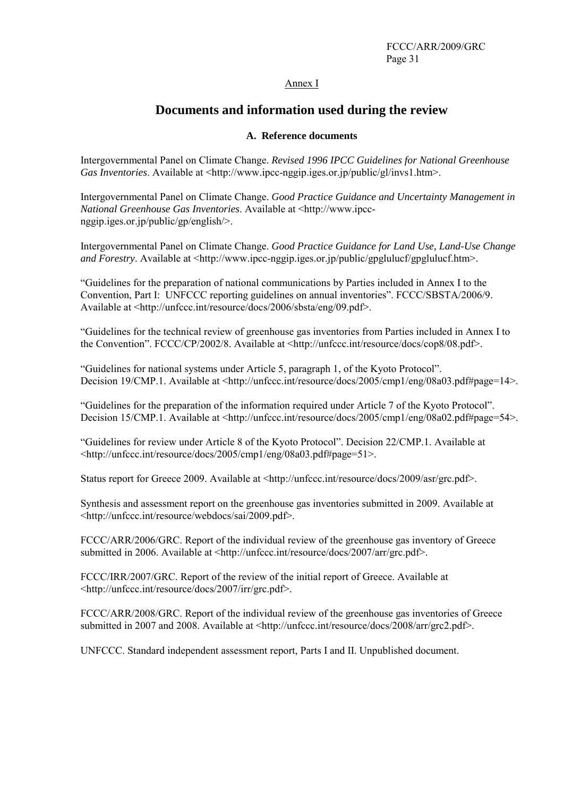Annex I

# **Documents and information used during the review**

#### **A. Reference documents**

Intergovernmental Panel on Climate Change. *Revised 1996 IPCC Guidelines for National Greenhouse Gas Inventories*. Available at <http://www.ipcc-nggip.iges.or.jp/public/gl/invs1.htm>.

Intergovernmental Panel on Climate Change. *Good Practice Guidance and Uncertainty Management in National Greenhouse Gas Inventories*. Available at <http://www.ipccnggip.iges.or.jp/public/gp/english/>.

Intergovernmental Panel on Climate Change. *Good Practice Guidance for Land Use, Land-Use Change and Forestry.* Available at <http://www.ipcc-nggip.iges.or.jp/public/gpglulucf/gpglulucf.htm>.

"Guidelines for the preparation of national communications by Parties included in Annex I to the Convention, Part I: UNFCCC reporting guidelines on annual inventories". FCCC/SBSTA/2006/9. Available at <http://unfccc.int/resource/docs/2006/sbsta/eng/09.pdf>.

"Guidelines for the technical review of greenhouse gas inventories from Parties included in Annex I to the Convention". FCCC/CP/2002/8. Available at <http://unfccc.int/resource/docs/cop8/08.pdf>.

"Guidelines for national systems under Article 5, paragraph 1, of the Kyoto Protocol". Decision 19/CMP.1. Available at <http://unfccc.int/resource/docs/2005/cmp1/eng/08a03.pdf#page=14>.

"Guidelines for the preparation of the information required under Article 7 of the Kyoto Protocol". Decision 15/CMP.1. Available at <http://unfccc.int/resource/docs/2005/cmp1/eng/08a02.pdf#page=54>.

"Guidelines for review under Article 8 of the Kyoto Protocol". Decision 22/CMP.1. Available at <http://unfccc.int/resource/docs/2005/cmp1/eng/08a03.pdf#page=51>.

Status report for Greece 2009. Available at <http://unfccc.int/resource/docs/2009/asr/grc.pdf>.

Synthesis and assessment report on the greenhouse gas inventories submitted in 2009. Available at <http://unfccc.int/resource/webdocs/sai/2009.pdf>.

FCCC/ARR/2006/GRC. Report of the individual review of the greenhouse gas inventory of Greece submitted in 2006. Available at <http://unfccc.int/resource/docs/2007/arr/grc.pdf>.

FCCC/IRR/2007/GRC. Report of the review of the initial report of Greece. Available at <http://unfccc.int/resource/docs/2007/irr/grc.pdf>.

FCCC/ARR/2008/GRC. Report of the individual review of the greenhouse gas inventories of Greece submitted in 2007 and 2008. Available at <http://unfccc.int/resource/docs/2008/arr/grc2.pdf>.

UNFCCC. Standard independent assessment report, Parts I and II. Unpublished document.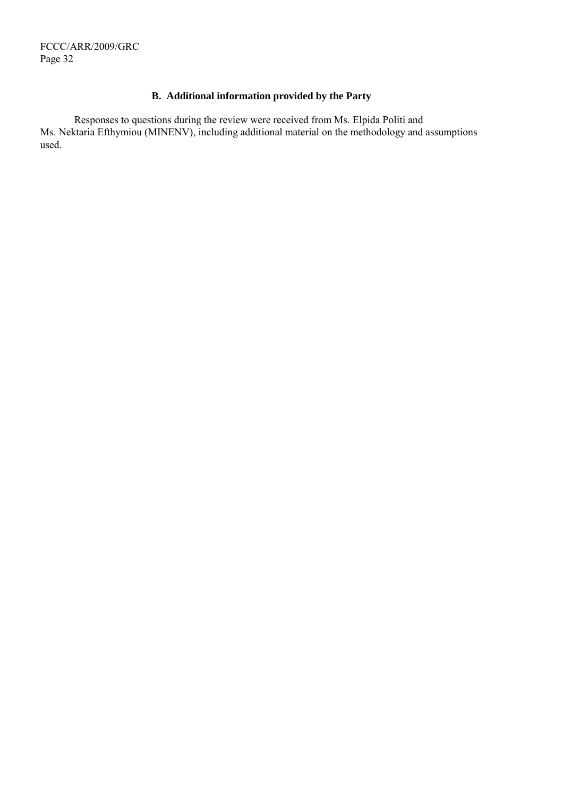# **B. Additional information provided by the Party**

Responses to questions during the review were received from Ms. Elpida Politi and Ms. Nektaria Efthymiou (MINENV), including additional material on the methodology and assumptions used.